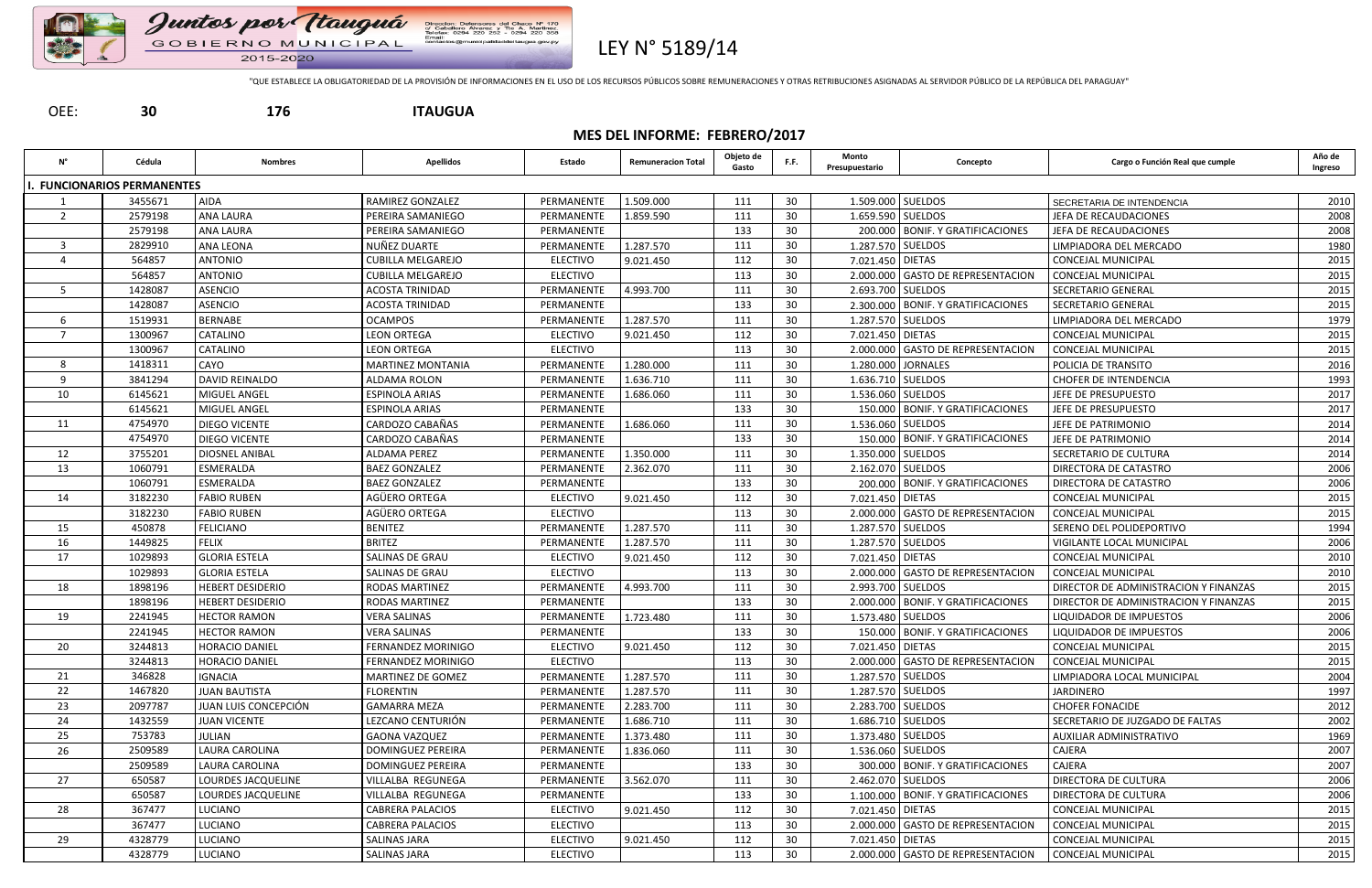



LEY N° 5189/14

"QUE ESTABLECE LA OBLIGATORIEDAD DE LA PROVISIÓN DE INFORMACIONES EN EL USO DE LOS RECURSOS PÚBLICOS SOBRE REMUNERACIONES Y OTRAS RETRIBUCIONES ASIGNADAS AL SERVIDOR PÚBLICO DE LA REPÚBLICA DEL PARAGUAY"

M° 170<br>Martinez.<br>220 358

a.gov.py

# OEE: **30 176 ITAUGUA**

# **MES DEL INFORME: FEBRERO/2017**

| N°             | Cédula                          | <b>Nombres</b>          | <b>Apellidos</b>          | Estado          | <b>Remuneracion Total</b> | Objeto de<br>Gasto | F.F. | Monto<br>Presupuestario | Concepto                           | Cargo o Función Real que cumple       | Año de<br>Ingreso |
|----------------|---------------------------------|-------------------------|---------------------------|-----------------|---------------------------|--------------------|------|-------------------------|------------------------------------|---------------------------------------|-------------------|
|                | <b>FUNCIONARIOS PERMANENTES</b> |                         |                           |                 |                           |                    |      |                         |                                    |                                       |                   |
|                | 3455671                         | <b>AIDA</b>             | <b>RAMIREZ GONZALEZ</b>   | PERMANENTE      | 1.509.000                 | 111                | 30   |                         | 1.509.000 SUELDOS                  | SECRETARIA DE INTENDENCIA             | 2010              |
| $\overline{2}$ | 2579198                         | <b>ANA LAURA</b>        | PEREIRA SAMANIEGO         | PERMANENTE      | 1.859.590                 | 111                | 30   |                         | 1.659.590 SUELDOS                  | JEFA DE RECAUDACIONES                 | 2008              |
|                | 2579198                         | ANA LAURA               | PEREIRA SAMANIEGO         | PERMANENTE      |                           | 133                | 30   |                         | 200.000 BONIF. Y GRATIFICACIONES   | JEFA DE RECAUDACIONES                 | 2008              |
| $\overline{3}$ | 2829910                         | <b>ANA LEONA</b>        | NUÑEZ DUARTE              | PERMANENTE      | 1.287.570                 | 111                | 30   |                         | 1.287.570 SUELDOS                  | LIMPIADORA DEL MERCADO                | 1980              |
| $\overline{4}$ | 564857                          | <b>ANTONIO</b>          | <b>CUBILLA MELGAREJO</b>  | <b>ELECTIVO</b> | 9.021.450                 | 112                | 30   | 7.021.450 DIETAS        |                                    | CONCEJAL MUNICIPAL                    | 2015              |
|                | 564857                          | <b>ANTONIO</b>          | <b>CUBILLA MELGAREJO</b>  | <b>ELECTIVO</b> |                           | 113                | 30   |                         | 2.000.000 GASTO DE REPRESENTACION  | <b>CONCEJAL MUNICIPAL</b>             | 2015              |
| 5              | 1428087                         | <b>ASENCIO</b>          | <b>ACOSTA TRINIDAD</b>    | PERMANENTE      | 4.993.700                 | 111                | 30   |                         | 2.693.700 SUELDOS                  | SECRETARIO GENERAL                    | 2015              |
|                | 1428087                         | <b>ASENCIO</b>          | <b>ACOSTA TRINIDAD</b>    | PERMANENTE      |                           | 133                | 30   |                         | 2.300.000 BONIF. Y GRATIFICACIONES | <b>SECRETARIO GENERAL</b>             | 2015              |
| -6             | 1519931                         | BERNABE                 | <b>OCAMPOS</b>            | PERMANENTE      | 1.287.570                 | 111                | 30   |                         | 1.287.570 SUELDOS                  | LIMPIADORA DEL MERCADO                | 1979              |
| $\overline{7}$ | 1300967                         | CATALINO                | <b>LEON ORTEGA</b>        | <b>ELECTIVO</b> | 9.021.450                 | 112                | 30   | 7.021.450 DIETAS        |                                    | CONCEJAL MUNICIPAL                    | 2015              |
|                | 1300967                         | CATALINO                | <b>LEON ORTEGA</b>        | <b>ELECTIVO</b> |                           | 113                | 30   |                         | 2.000.000 GASTO DE REPRESENTACION  | <b>CONCEJAL MUNICIPAL</b>             | 2015              |
| 8              | 1418311                         | CAYO                    | <b>MARTINEZ MONTANIA</b>  | PERMANENTE      | 1.280.000                 | 111                | 30   |                         | 1.280.000 JORNALES                 | POLICIA DE TRANSITO                   | 2016              |
| -9             | 3841294                         | <b>DAVID REINALDO</b>   | ALDAMA ROLON              | PERMANENTE      | 1.636.710                 | 111                | 30   |                         | 1.636.710 SUELDOS                  | <b>CHOFER DE INTENDENCIA</b>          | 1993              |
| 10             | 6145621                         | <b>MIGUEL ANGEL</b>     | <b>ESPINOLA ARIAS</b>     | PERMANENTE      | 1.686.060                 | 111                | 30   |                         | 1.536.060 SUELDOS                  | JEFE DE PRESUPUESTO                   | 2017              |
|                | 6145621                         | MIGUEL ANGEL            | <b>ESPINOLA ARIAS</b>     | PERMANENTE      |                           | 133                | 30   |                         | 150.000 BONIF. Y GRATIFICACIONES   | JEFE DE PRESUPUESTO                   | 2017              |
| 11             | 4754970                         | <b>DIEGO VICENTE</b>    | CARDOZO CABAÑAS           | PERMANENTE      | 1.686.060                 | 111                | 30   |                         | 1.536.060 SUELDOS                  | JEFE DE PATRIMONIO                    | 2014              |
|                | 4754970                         | <b>DIEGO VICENTE</b>    | CARDOZO CABAÑAS           | PERMANENTE      |                           | 133                | 30   |                         | 150.000 BONIF. Y GRATIFICACIONES   | JEFE DE PATRIMONIO                    | 2014              |
| 12             | 3755201                         | DIOSNEL ANIBAL          | <b>ALDAMA PEREZ</b>       | PERMANENTE      | 1.350.000                 | 111                | 30   |                         | 1.350.000 SUELDOS                  | SECRETARIO DE CULTURA                 | 2014              |
| 13             | 1060791                         | ESMERALDA               | <b>BAEZ GONZALEZ</b>      | PERMANENTE      | 2.362.070                 | 111                | 30   |                         | 2.162.070 SUELDOS                  | DIRECTORA DE CATASTRO                 | 2006              |
|                | 1060791                         | ESMERALDA               | <b>BAEZ GONZALEZ</b>      | PERMANENTE      |                           | 133                | 30   |                         | 200.000   BONIF. Y GRATIFICACIONES | DIRECTORA DE CATASTRO                 | 2006              |
| 14             | 3182230                         | <b>FABIO RUBEN</b>      | AGÜERO ORTEGA             | <b>ELECTIVO</b> | 9.021.450                 | 112                | 30   | 7.021.450 DIETAS        |                                    | <b>CONCEJAL MUNICIPAL</b>             | 2015              |
|                | 3182230                         | <b>FABIO RUBEN</b>      | AGÜERO ORTEGA             | <b>ELECTIVO</b> |                           | 113                | 30   |                         | 2.000.000 GASTO DE REPRESENTACION  | <b>CONCEJAL MUNICIPAL</b>             | 2015              |
| 15             | 450878                          | <b>FELICIANO</b>        | <b>BENITEZ</b>            | PERMANENTE      | 1.287.570                 | 111                | 30   |                         | 1.287.570 SUELDOS                  | SERENO DEL POLIDEPORTIVO              | 1994              |
| 16             | 1449825                         | <b>FELIX</b>            | <b>BRITEZ</b>             | PERMANENTE      | 1.287.570                 | 111                | 30   |                         | 1.287.570 SUELDOS                  | VIGILANTE LOCAL MUNICIPAL             | 2006              |
| 17             | 1029893                         | <b>GLORIA ESTELA</b>    | SALINAS DE GRAU           | <b>ELECTIVO</b> | 9.021.450                 | 112                | 30   | 7.021.450 DIETAS        |                                    | <b>CONCEJAL MUNICIPAL</b>             | 2010              |
|                | 1029893                         | <b>GLORIA ESTELA</b>    | SALINAS DE GRAU           | <b>ELECTIVO</b> |                           | 113                | 30   |                         | 2.000.000 GASTO DE REPRESENTACION  | <b>CONCEJAL MUNICIPAL</b>             | 2010              |
| 18             | 1898196                         | <b>HEBERT DESIDERIO</b> | <b>RODAS MARTINEZ</b>     | PERMANENTE      | 4.993.700                 | 111                | 30   |                         | 2.993.700 SUELDOS                  | DIRECTOR DE ADMINISTRACION Y FINANZAS | 2015              |
|                | 1898196                         | <b>HEBERT DESIDERIO</b> | <b>RODAS MARTINEZ</b>     | PERMANENTE      |                           | 133                | 30   |                         | 2.000.000 BONIF. Y GRATIFICACIONES | DIRECTOR DE ADMINISTRACION Y FINANZAS | 2015              |
| 19             | 2241945                         | <b>HECTOR RAMON</b>     | <b>VERA SALINAS</b>       | PERMANENTE      | 1.723.480                 | 111                | 30   |                         | 1.573.480 SUELDOS                  | LIQUIDADOR DE IMPUESTOS               | 2006              |
|                | 2241945                         | <b>HECTOR RAMON</b>     | <b>VERA SALINAS</b>       | PERMANENTE      |                           | 133                | 30   |                         | 150.000   BONIF. Y GRATIFICACIONES | <b>LIQUIDADOR DE IMPUESTOS</b>        | 2006              |
| 20             | 3244813                         | <b>HORACIO DANIEL</b>   | <b>FERNANDEZ MORINIGO</b> | <b>ELECTIVO</b> | 9.021.450                 | 112                | 30   | 7.021.450 DIETAS        |                                    | <b>CONCEJAL MUNICIPAL</b>             | 2015              |
|                | 3244813                         | <b>HORACIO DANIEL</b>   | <b>FERNANDEZ MORINIGO</b> | <b>ELECTIVO</b> |                           | 113                | 30   |                         | 2.000.000 GASTO DE REPRESENTACION  | CONCEJAL MUNICIPAL                    | 2015              |
| 21             | 346828                          | <b>IGNACIA</b>          | MARTINEZ DE GOMEZ         | PERMANENTE      | 1.287.570                 | 111                | 30   |                         | 1.287.570 SUELDOS                  | LIMPIADORA LOCAL MUNICIPAL            | 2004              |
| 22             | 1467820                         | <b>JUAN BAUTISTA</b>    | <b>FLORENTIN</b>          | PERMANENTE      | 1.287.570                 | 111                | 30   |                         | 1.287.570 SUELDOS                  | <b>JARDINERO</b>                      | 1997              |
| 23             | 2097787                         | JUAN LUIS CONCEPCIÓN    | <b>GAMARRA MEZA</b>       | PERMANENTE      | 2.283.700                 | 111                | 30   |                         | 2.283.700 SUELDOS                  | <b>CHOFER FONACIDE</b>                | 2012              |
| 24             | 1432559                         | <b>JUAN VICENTE</b>     | LEZCANO CENTURIÓN         | PERMANENTE      | 1.686.710                 | 111                | 30   |                         | 1.686.710 SUELDOS                  | SECRETARIO DE JUZGADO DE FALTAS       | 2002              |
| 25             | 753783                          | JULIAN                  | <b>GAONA VAZQUEZ</b>      | PERMANENTE      | 1.373.480                 | 111                | 30   |                         | 1.373.480 SUELDOS                  | AUXILIAR ADMINISTRATIVO               | 1969              |
| 26             | 2509589                         | LAURA CAROLINA          | DOMINGUEZ PEREIRA         | PERMANENTE      | 1.836.060                 | 111                | 30   |                         | 1.536.060 SUELDOS                  | CAJERA                                | 2007              |
|                | 2509589                         | LAURA CAROLINA          | DOMINGUEZ PEREIRA         | PERMANENTE      |                           | 133                | 30   |                         | 300.000 BONIF. Y GRATIFICACIONES   | CAJERA                                | 2007              |
| 27             | 650587                          | LOURDES JACQUELINE      | VILLALBA REGUNEGA         | PERMANENTE      | 3.562.070                 | 111                | 30   |                         | 2.462.070 SUELDOS                  | DIRECTORA DE CULTURA                  | 2006              |
|                | 650587                          | LOURDES JACQUELINE      | VILLALBA REGUNEGA         | PERMANENTE      |                           | 133                | 30   |                         | 1.100.000 BONIF. Y GRATIFICACIONES | DIRECTORA DE CULTURA                  | 2006              |
| 28             | 367477                          | LUCIANO                 | <b>CABRERA PALACIOS</b>   | <b>ELECTIVO</b> | 9.021.450                 | 112                | 30   | 7.021.450 DIETAS        |                                    | CONCEJAL MUNICIPAL                    | 2015              |
|                | 367477                          | <b>LUCIANO</b>          | <b>CABRERA PALACIOS</b>   | <b>ELECTIVO</b> |                           | 113                | 30   |                         | 2.000.000 GASTO DE REPRESENTACION  | CONCEJAL MUNICIPAL                    | 2015              |
| 29             | 4328779                         | LUCIANO                 | <b>SALINAS JARA</b>       | <b>ELECTIVO</b> | 9.021.450                 | 112                | 30   | 7.021.450 DIETAS        |                                    | CONCEJAL MUNICIPAL                    | 2015              |
|                | 4328779                         | LUCIANO                 | <b>SALINAS JARA</b>       | <b>ELECTIVO</b> |                           | 113                | 30   |                         | 2.000.000 GASTO DE REPRESENTACION  | <b>CONCEJAL MUNICIPAL</b>             | 2015              |
|                |                                 |                         |                           |                 |                           |                    |      |                         |                                    |                                       |                   |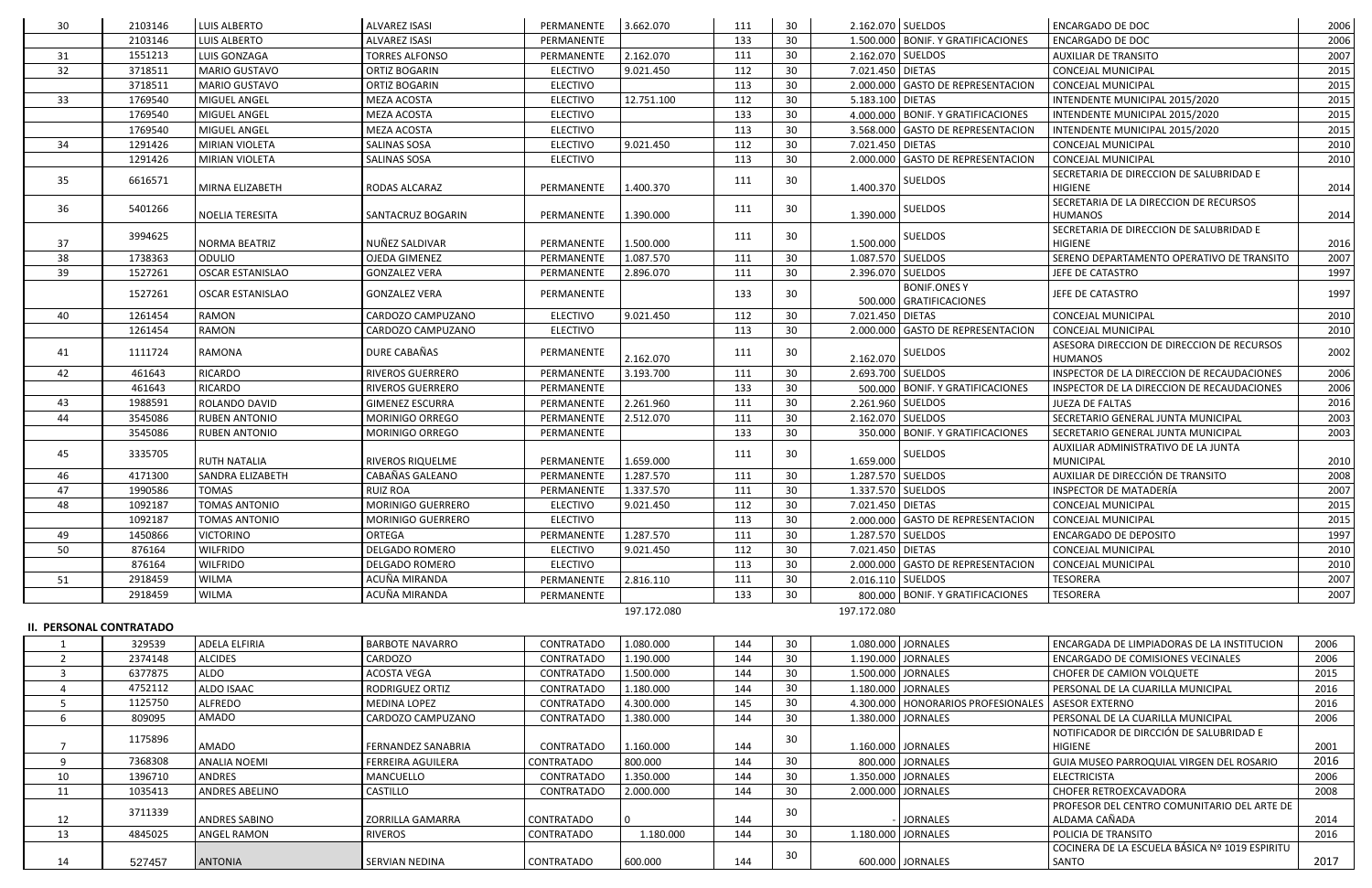| 30 | 2103146           | LUIS ALBERTO            | <b>ALVAREZ ISASI</b>    | PERMANENTE      | 3.662.070   | 111 | 30 |                  | 2.162.070 SUELDOS                  | <b>ENCARGADO DE DOC</b>                    | 2006         |
|----|-------------------|-------------------------|-------------------------|-----------------|-------------|-----|----|------------------|------------------------------------|--------------------------------------------|--------------|
|    | 2103146           | <b>LUIS ALBERTO</b>     | <b>ALVAREZ ISASI</b>    | PERMANENTE      |             | 133 | 30 |                  | 1.500.000 BONIF. Y GRATIFICACIONES | <b>ENCARGADO DE DOC</b>                    | 2006         |
| 31 | 1551213           | LUIS GONZAGA            | <b>TORRES ALFONSO</b>   | PERMANENTE      | 2.162.070   | 111 | 30 |                  | 2.162.070 SUELDOS                  | <b>AUXILIAR DE TRANSITO</b>                | 2007         |
| 32 | 3718511           | <b>MARIO GUSTAVO</b>    | ORTIZ BOGARIN           | <b>ELECTIVO</b> | 9.021.450   | 112 | 30 | 7.021.450 DIETAS |                                    | <b>CONCEJAL MUNICIPAL</b>                  | 2015         |
|    | 3718511           | <b>MARIO GUSTAVO</b>    | ORTIZ BOGARIN           | <b>ELECTIVO</b> |             | 113 | 30 |                  | 2.000.000 GASTO DE REPRESENTACION  | <b>CONCEJAL MUNICIPAL</b>                  | 2015         |
| 33 | 1769540           | <b>MIGUEL ANGEL</b>     | <b>MEZA ACOSTA</b>      | <b>ELECTIVO</b> | 12.751.100  | 112 | 30 | 5.183.100 DIETAS |                                    | INTENDENTE MUNICIPAL 2015/2020             | 2015         |
|    | 1769540           | MIGUEL ANGEL            | MEZA ACOSTA             | <b>ELECTIVO</b> |             | 133 | 30 |                  | 4.000.000 BONIF. Y GRATIFICACIONES | INTENDENTE MUNICIPAL 2015/2020             | 2015         |
|    | 1769540           | MIGUEL ANGEL            | MEZA ACOSTA             | <b>ELECTIVO</b> |             | 113 | 30 |                  | 3.568.000 GASTO DE REPRESENTACION  | INTENDENTE MUNICIPAL 2015/2020             | 2015         |
| 34 | 1291426           | <b>MIRIAN VIOLETA</b>   | SALINAS SOSA            | <b>ELECTIVO</b> | 9.021.450   | 112 | 30 | 7.021.450 DIETAS |                                    | <b>CONCEJAL MUNICIPAL</b>                  | 2010         |
|    | 1291426           | <b>MIRIAN VIOLETA</b>   | SALINAS SOSA            | <b>ELECTIVO</b> |             | 113 | 30 |                  | 2.000.000 GASTO DE REPRESENTACION  | <b>CONCEJAL MUNICIPAL</b>                  | 2010         |
| 35 | 6616571           |                         |                         |                 |             | 111 | 30 |                  | <b>SUELDOS</b>                     | SECRETARIA DE DIRECCION DE SALUBRIDAD E    |              |
|    |                   | MIRNA ELIZABETH         | RODAS ALCARAZ           | PERMANENTE      | 1.400.370   |     |    | 1.400.370        |                                    | <b>HIGIENE</b>                             | 2014         |
| 36 | 5401266           |                         |                         |                 |             | 111 | 30 |                  | <b>SUELDOS</b>                     | SECRETARIA DE LA DIRECCION DE RECURSOS     |              |
|    |                   | <b>NOELIA TERESITA</b>  | SANTACRUZ BOGARIN       | PERMANENTE      | 1.390.000   |     |    | 1.390.000        |                                    | HUMANOS                                    | 2014         |
|    | 3994625           |                         |                         |                 |             | 111 | 30 |                  | SUELDOS                            | SECRETARIA DE DIRECCION DE SALUBRIDAD E    |              |
| 37 |                   | <b>NORMA BEATRIZ</b>    | NUÑEZ SALDIVAR          | PERMANENTE      | 1.500.000   |     |    | 1.500.000        |                                    | <b>HIGIENE</b>                             | 2016         |
| 38 | 1738363           | <b>ODULIO</b>           | <b>OJEDA GIMENEZ</b>    | PERMANENTE      | 1.087.570   | 111 | 30 |                  | 1.087.570 SUELDOS                  | SERENO DEPARTAMENTO OPERATIVO DE TRANSITO  | 2007         |
| 39 | 1527261           | <b>OSCAR ESTANISLAO</b> | <b>GONZALEZ VERA</b>    | PERMANENTE      | 2.896.070   | 111 | 30 |                  | 2.396.070 SUELDOS                  | JEFE DE CATASTRO                           | 1997         |
|    | 1527261           | <b>OSCAR ESTANISLAO</b> | <b>GONZALEZ VERA</b>    | PERMANENTE      |             | 133 | 30 |                  | <b>BONIF.ONESY</b>                 | JEFE DE CATASTRO                           | 1997         |
| 40 | 1261454           | <b>RAMON</b>            | CARDOZO CAMPUZANO       | <b>ELECTIVO</b> | 9.021.450   | 112 | 30 | 7.021.450 DIETAS | 500.000 GRATIFICACIONES            | <b>CONCEJAL MUNICIPAL</b>                  | 2010         |
|    | 1261454           | <b>RAMON</b>            |                         | <b>ELECTIVO</b> |             | 113 |    |                  | 2.000.000 GASTO DE REPRESENTACION  | CONCEJAL MUNICIPAL                         | 2010         |
|    |                   |                         | CARDOZO CAMPUZANO       |                 |             |     | 30 |                  |                                    | ASESORA DIRECCION DE DIRECCION DE RECURSOS |              |
| 41 | 1111724           | RAMONA                  | DURE CABAÑAS            | PERMANENTE      | 2.162.070   | 111 | 30 |                  | $2.162.070$ SUELDOS                | <b>HUMANOS</b>                             | 2002         |
| 42 | 461643            | <b>RICARDO</b>          | <b>RIVEROS GUERRERO</b> | PERMANENTE      | 3.193.700   | 111 | 30 |                  | 2.693.700 SUELDOS                  | INSPECTOR DE LA DIRECCION DE RECAUDACIONES | 2006         |
|    | 461643            | RICARDO                 | RIVEROS GUERRERO        | PERMANENTE      |             | 133 | 30 |                  | 500.000 BONIF. Y GRATIFICACIONES   | INSPECTOR DE LA DIRECCION DE RECAUDACIONES | 2006         |
| 43 | 1988591           | ROLANDO DAVID           | <b>GIMENEZ ESCURRA</b>  | PERMANENTE      | 2.261.960   | 111 | 30 |                  | 2.261.960 SUELDOS                  | <b>JUEZA DE FALTAS</b>                     | 2016         |
| 44 | 3545086           | <b>RUBEN ANTONIO</b>    | MORINIGO ORREGO         | PERMANENTE      | 2.512.070   | 111 | 30 |                  | 2.162.070 SUELDOS                  | SECRETARIO GENERAL JUNTA MUNICIPAL         | 2003         |
|    | 3545086           | <b>RUBEN ANTONIO</b>    | MORINIGO ORREGO         | PERMANENTE      |             | 133 | 30 |                  | 350.000 BONIF. Y GRATIFICACIONES   | SECRETARIO GENERAL JUNTA MUNICIPAL         | 2003         |
|    |                   |                         |                         |                 |             |     |    |                  |                                    | AUXILIAR ADMINISTRATIVO DE LA JUNTA        |              |
| 45 | 3335705           | <b>RUTH NATALIA</b>     | RIVEROS RIQUELME        | PERMANENTE      | 1.659.000   | 111 | 30 | 1.659.000        | <b>SUELDOS</b>                     | <b>MUNICIPAL</b>                           | 2010         |
| 46 | 4171300           | SANDRA ELIZABETH        | CABAÑAS GALEANO         | PERMANENTE      | 1.287.570   | 111 | 30 |                  | 1.287.570 SUELDOS                  | AUXILIAR DE DIRECCIÓN DE TRANSITO          | 2008         |
| 47 | 1990586           | <b>TOMAS</b>            | <b>RUIZ ROA</b>         | PERMANENTE      | 1.337.570   | 111 | 30 |                  | 1.337.570 SUELDOS                  | INSPECTOR DE MATADERÍA                     | 2007         |
| 48 | 1092187           | <b>TOMAS ANTONIO</b>    | MORINIGO GUERRERO       | <b>ELECTIVO</b> | 9.021.450   | 112 | 30 | 7.021.450 DIETAS |                                    | CONCEJAL MUNICIPAL                         | 2015         |
|    | 1092187           | <b>TOMAS ANTONIO</b>    | MORINIGO GUERRERO       | <b>ELECTIVO</b> |             | 113 | 30 |                  | 2.000.000 GASTO DE REPRESENTACION  | <b>CONCEJAL MUNICIPAL</b>                  | 2015         |
| 49 | 1450866           | <b>VICTORINO</b>        | ORTEGA                  | PERMANENTE      | 1.287.570   | 111 | 30 |                  | 1.287.570 SUELDOS                  | <b>ENCARGADO DE DEPOSITO</b>               | 1997         |
| 50 | 876164            | <b>WILFRIDO</b>         | <b>DELGADO ROMERO</b>   | <b>ELECTIVO</b> | 9.021.450   | 112 | 30 | 7.021.450 DIETAS |                                    | <b>CONCEJAL MUNICIPAL</b>                  | 2010         |
|    |                   | <b>WILFRIDO</b>         | <b>DELGADO ROMERO</b>   |                 |             |     |    |                  | 2.000.000 GASTO DE REPRESENTACION  | CONCEJAL MUNICIPAL                         |              |
|    | 876164<br>2918459 | <b>WILMA</b>            | ACUÑA MIRANDA           | <b>ELECTIVO</b> |             | 113 | 30 |                  |                                    | <b>TESORERA</b>                            | 2010<br>2007 |
| 51 |                   |                         |                         | PERMANENTE      | 2.816.110   | 111 | 30 |                  | 2.016.110 SUELDOS                  |                                            |              |
|    | 2918459           | <b>WILMA</b>            | ACUÑA MIRANDA           | PERMANENTE      |             | 133 | 30 |                  | 800.000 BONIF. Y GRATIFICACIONES   | <b>TESORERA</b>                            | 2007         |
|    |                   |                         |                         |                 | 197.172.080 |     |    | 197.172.080      |                                    |                                            |              |

### **II. PERSONAL CONTRATADO**

|    | 329539  | ADELA ELFIRIA         | <b>BARBOTE NAVARRO</b>    | <b>CONTRATADO</b> | 1.080.000 | 144 | 30 | 1.080.000 JORNALES                                    | ENCARGADA DE LIMPIADORAS DE LA INSTITUCION     | 2006 |
|----|---------|-----------------------|---------------------------|-------------------|-----------|-----|----|-------------------------------------------------------|------------------------------------------------|------|
|    | 2374148 | <b>ALCIDES</b>        | CARDOZO                   | CONTRATADO        | 1.190.000 | 144 | 30 | 1.190.000   JORNALES                                  | <b>ENCARGADO DE COMISIONES VECINALES</b>       | 2006 |
|    | 6377875 | ALDO                  | <b>ACOSTA VEGA</b>        | CONTRATADO        | 1.500.000 | 144 | 30 | 1.500.000 JORNALES                                    | <b>CHOFER DE CAMION VOLQUETE</b>               | 2015 |
|    | 4752112 | <b>ALDO ISAAC</b>     | <b>RODRIGUEZ ORTIZ</b>    | <b>CONTRATADO</b> | 1.180.000 | 144 | 30 | 1.180.000 J JORNALES                                  | PERSONAL DE LA CUARILLA MUNICIPAL              | 2016 |
|    | 1125750 | <b>ALFREDO</b>        | MEDINA LOPEZ              | CONTRATADO        | 4.300.000 | 145 | 30 | 4.300.000   HONORARIOS PROFESIONALES   ASESOR EXTERNO |                                                | 2016 |
|    | 809095  | AMADO                 | CARDOZO CAMPUZANO         | <b>CONTRATADO</b> | 1.380.000 | 144 | 30 | 1.380.000 JORNALES                                    | PERSONAL DE LA CUARILLA MUNICIPAL              | 2006 |
|    | 1175896 |                       |                           |                   |           |     | 30 |                                                       | NOTIFICADOR DE DIRCCIÓN DE SALUBRIDAD E        |      |
|    |         | <b>AMADO</b>          | <b>FERNANDEZ SANABRIA</b> | CONTRATADO        | 1.160.000 | 144 |    | 1.160.000 JORNALES                                    | <b>HIGIENE</b>                                 | 2001 |
|    | 7368308 | ANALIA NOEMI          | <b>FERREIRA AGUILERA</b>  | CONTRATADO        | 800.000   | 144 | 30 | 800.000 JORNALES                                      | GUIA MUSEO PARROQUIAL VIRGEN DEL ROSARIO       | 2016 |
| 10 | 1396710 | <b>ANDRES</b>         | <b>MANCUELLO</b>          | CONTRATADO        | 1.350.000 | 144 | 30 | 1.350.000 JORNALES                                    | <b>ELECTRICISTA</b>                            | 2006 |
| 11 | 1035413 | <b>ANDRES ABELINO</b> | <b>CASTILLO</b>           | CONTRATADO        | 2.000.000 | 144 | 30 | 2.000.000 JORNALES                                    | CHOFER RETROEXCAVADORA                         | 2008 |
|    | 3711339 |                       |                           |                   |           |     | 30 |                                                       | PROFESOR DEL CENTRO COMUNITARIO DEL ARTE DE    |      |
| 12 |         | <b>ANDRES SABINO</b>  | <b>ZORRILLA GAMARRA</b>   | CONTRATADO        |           | 144 |    | <b>JORNALES</b>                                       | ALDAMA CAÑADA                                  | 2014 |
| 13 | 4845025 | ANGEL RAMON           | RIVEROS                   | CONTRATADO        | 1.180.000 | 144 | 30 | 1.180.000 JORNALES                                    | POLICIA DE TRANSITO                            | 2016 |
|    |         |                       |                           |                   |           |     | 30 |                                                       | COCINERA DE LA ESCUELA BÁSICA Nº 1019 ESPIRITU |      |
| 14 | 527457  | <b>ANTONIA</b>        | <b>SERVIAN NEDINA</b>     | CONTRATADO        | 600.000   | 144 |    | 600.000 JORNALES                                      | <b>SANTO</b>                                   | 2017 |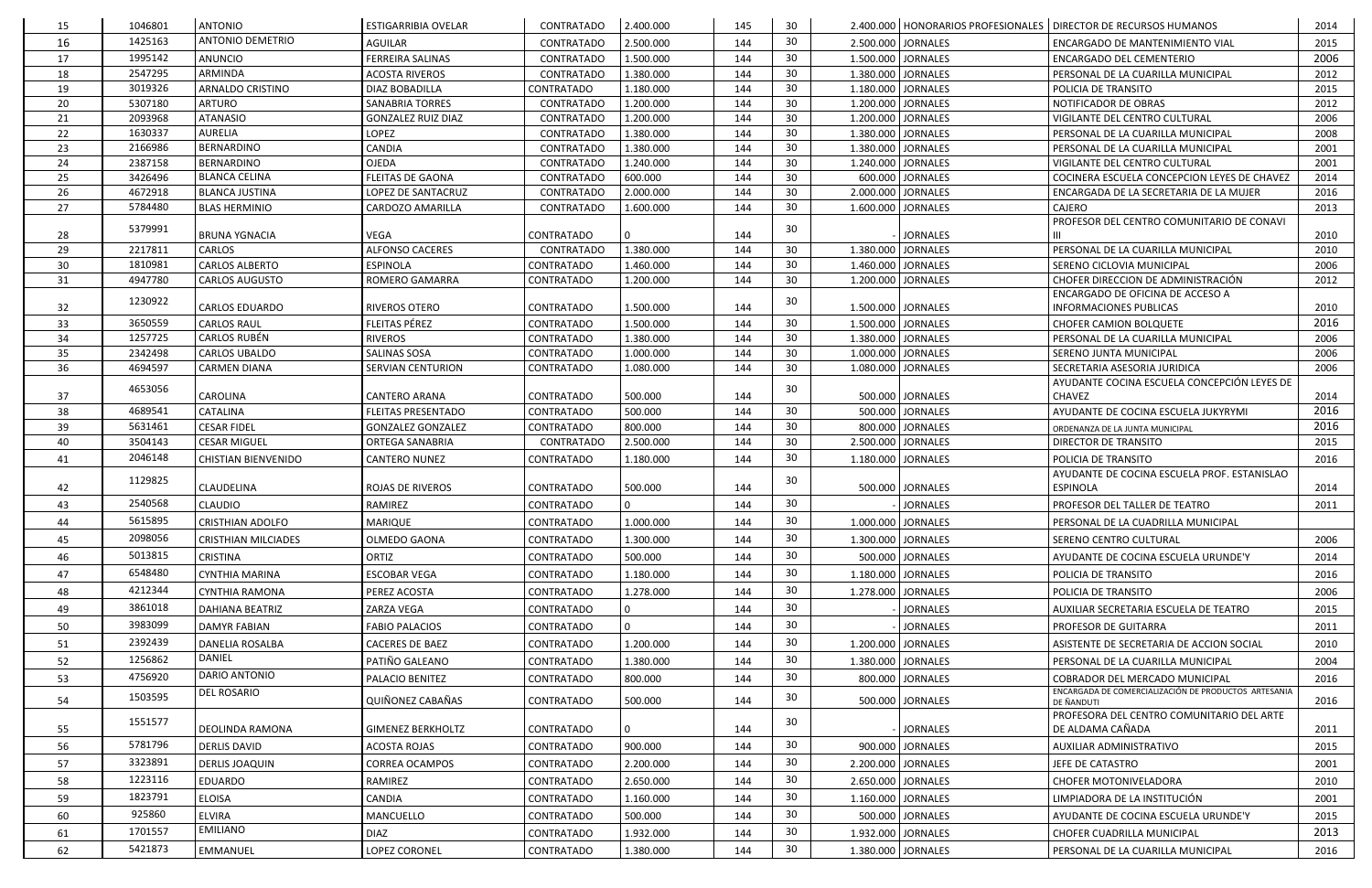| 15       | 1046801            | <b>ANTONIO</b>             | <b>ESTIGARRIBIA OVELAR</b> | CONTRATADO        | 2.400.000              | 145        | 30              |                                          | 2.400.000   HONORARIOS PROFESIONALES   DIRECTOR DE RECURSOS HUMANOS | 2014         |
|----------|--------------------|----------------------------|----------------------------|-------------------|------------------------|------------|-----------------|------------------------------------------|---------------------------------------------------------------------|--------------|
| 16       | 1425163            | <b>ANTONIO DEMETRIO</b>    | <b>AGUILAR</b>             | CONTRATADO        | 2.500.000              | 144        | 30              | 2.500.000 JORNALES                       | ENCARGADO DE MANTENIMIENTO VIAL                                     | 2015         |
| 17       | 1995142            | ANUNCIO                    | <b>FERREIRA SALINAS</b>    | CONTRATADO        | 1.500.000              | 144        | 30              | 1.500.000 JORNALES                       | ENCARGADO DEL CEMENTERIO                                            | 2006         |
| 18       | 2547295            | ARMINDA                    | <b>ACOSTA RIVEROS</b>      | CONTRATADO        | 1.380.000              | 144        | 30              | 1.380.000 JORNALES                       | PERSONAL DE LA CUARILLA MUNICIPAL                                   | 2012         |
| 19       | 3019326            | <b>ARNALDO CRISTINO</b>    | DIAZ BOBADILLA             | CONTRATADO        | 1.180.000              | 144        | 30              | 1.180.000 JORNALES                       | POLICIA DE TRANSITO                                                 | 2015         |
| 20       | 5307180            | <b>ARTURO</b>              | <b>SANABRIA TORRES</b>     | CONTRATADO        | 1.200.000              | 144        | 30              | 1.200.000 JORNALES                       | NOTIFICADOR DE OBRAS                                                | 2012         |
| 21       | 2093968            | <b>ATANASIO</b>            | <b>GONZALEZ RUIZ DIAZ</b>  | CONTRATADO        | 1.200.000              | 144        | 30              | 1.200.000 JORNALES                       | VIGILANTE DEL CENTRO CULTURAL                                       | 2006         |
| 22       | 1630337            | <b>AURELIA</b>             | LOPEZ                      | CONTRATADO        | 1.380.000              | 144        | 30              | 1.380.000 JORNALES                       | PERSONAL DE LA CUARILLA MUNICIPAL                                   | 2008         |
| 23       | 2166986            | BERNARDINO                 | <b>CANDIA</b>              | CONTRATADO        | 1.380.000              | 144        | 30              | 1.380.000 JORNALES                       | PERSONAL DE LA CUARILLA MUNICIPAL                                   | 2001         |
| 24       | 2387158            | <b>BERNARDINO</b>          | OJEDA                      | CONTRATADO        | 1.240.000              | 144        | 30              | 1.240.000 JORNALES                       | VIGILANTE DEL CENTRO CULTURAL                                       | 2001         |
| 25       | 3426496            | <b>BLANCA CELINA</b>       | <b>FLEITAS DE GAONA</b>    | CONTRATADO        | 600.000                | 144        | 30              | 600.000 JORNALES                         | COCINERA ESCUELA CONCEPCION LEYES DE CHAVEZ                         | 2014         |
| 26       | 4672918            | <b>BLANCA JUSTINA</b>      | LOPEZ DE SANTACRUZ         | CONTRATADO        | 2.000.000              | 144        | 30              | 2.000.000 JORNALES                       | ENCARGADA DE LA SECRETARIA DE LA MUJER                              | 2016         |
| 27       | 5784480            | <b>BLAS HERMINIO</b>       | CARDOZO AMARILLA           | CONTRATADO        | 1.600.000              | 144        | 30              | 1.600.000 JORNALES                       | CAJERO                                                              | 2013         |
| 28       | 5379991            | <b>BRUNA YGNACIA</b>       | <b>VEGA</b>                | CONTRATADO        |                        | 144        | 30              | <b>JORNALES</b>                          | PROFESOR DEL CENTRO COMUNITARIO DE CONAVI                           | 2010         |
| 29       | 2217811            | <b>CARLOS</b>              | <b>ALFONSO CACERES</b>     | CONTRATADO        | 1.380.000              | 144        | 30              | 1.380.000 JORNALES                       | PERSONAL DE LA CUARILLA MUNICIPAL                                   | 2010         |
| 30       | 1810981            | <b>CARLOS ALBERTO</b>      | <b>ESPINOLA</b>            | CONTRATADO        | 1.460.000              | 144        | 30              | 1.460.000 JORNALES                       | SERENO CICLOVIA MUNICIPAL                                           | 2006         |
| 31       | 4947780            | <b>CARLOS AUGUSTO</b>      | ROMERO GAMARRA             | CONTRATADO        | 1.200.000              | 144        | 30              | 1.200.000 JORNALES                       | CHOFER DIRECCION DE ADMINISTRACIÓN                                  | 2012         |
|          |                    |                            |                            |                   |                        |            |                 |                                          | ENCARGADO DE OFICINA DE ACCESO A                                    |              |
| 32       | 1230922            | <b>CARLOS EDUARDO</b>      | RIVEROS OTERO              | CONTRATADO        | 1.500.000              | 144        | 30              | 1.500.000 JORNALES                       | <b>INFORMACIONES PUBLICAS</b>                                       | 2010         |
| 33       | 3650559            | <b>CARLOS RAUL</b>         | FLEITAS PÉREZ              | <b>CONTRATADO</b> | 1.500.000              | 144        | 30              | 1.500.000 JORNALES                       | <b>CHOFER CAMION BOLQUETE</b>                                       | 2016         |
| 34       | 1257725            | <b>CARLOS RUBÉN</b>        | <b>RIVEROS</b>             | CONTRATADO        | 1.380.000              | 144        | 30              | 1.380.000 JORNALES                       | PERSONAL DE LA CUARILLA MUNICIPAL                                   | 2006         |
| 35       | 2342498            | CARLOS UBALDO              | <b>SALINAS SOSA</b>        | <b>CONTRATADO</b> | 1.000.000              | 144        | 30              | 1.000.000 JORNALES                       | SERENO JUNTA MUNICIPAL                                              | 2006         |
| 36       | 4694597            | <b>CARMEN DIANA</b>        | SERVIAN CENTURION          | CONTRATADO        | 1.080.000              | 144        | 30              | 1.080.000 JORNALES                       | SECRETARIA ASESORIA JURIDICA                                        | 2006         |
| 37       | 4653056            | CAROLINA                   | <b>CANTERO ARANA</b>       | CONTRATADO        | 500.000                | 144        | 30              | 500.000 JORNALES                         | AYUDANTE COCINA ESCUELA CONCEPCIÓN LEYES DE<br><b>CHAVEZ</b>        | 2014         |
| 38       | 4689541            | CATALINA                   | <b>FLEITAS PRESENTADO</b>  | CONTRATADO        | 500.000                | 144        | 30              | 500.000 JORNALES                         | AYUDANTE DE COCINA ESCUELA JUKYRYMI                                 | 2016         |
| 39       | 5631461            | <b>CESAR FIDEL</b>         | <b>GONZALEZ GONZALEZ</b>   | CONTRATADO        | 800.000                | 144        | 30              | 800.000 JORNALES                         |                                                                     | 2016         |
| 40       | 3504143            | <b>CESAR MIGUEL</b>        | ORTEGA SANABRIA            | CONTRATADO        | 2.500.000              | 144        | 30              | 2.500.000 JORNALES                       | ORDENANZA DE LA JUNTA MUNICIPAL<br>DIRECTOR DE TRANSITO             | 2015         |
|          | 2046148            |                            |                            | <b>CONTRATADO</b> | 1.180.000              |            | 30              | 1.180.000 JORNALES                       | POLICIA DE TRANSITO                                                 | 2016         |
| 41       |                    | <b>CHISTIAN BIENVENIDO</b> | <b>CANTERO NUNEZ</b>       |                   |                        | 144        |                 |                                          | AYUDANTE DE COCINA ESCUELA PROF. ESTANISLAO                         |              |
| 42       | 1129825            | CLAUDELINA                 | ROJAS DE RIVEROS           | CONTRATADO        | 500.000                | 144        | 30              | 500.000 JORNALES                         | <b>ESPINOLA</b>                                                     | 2014         |
| 43       | 2540568            | <b>CLAUDIO</b>             | RAMIREZ                    | CONTRATADO        |                        | 144        | 30              | <b>JORNALES</b>                          | PROFESOR DEL TALLER DE TEATRO                                       | 2011         |
| 44       | 5615895            | <b>CRISTHIAN ADOLFO</b>    | MARIQUE                    | CONTRATADO        | 1.000.000              | 144        | 30 <sup>°</sup> | 1.000.000 JORNALES                       | PERSONAL DE LA CUADRILLA MUNICIPAL                                  |              |
| 45       | 2098056            | <b>CRISTHIAN MILCIADES</b> | OLMEDO GAONA               | CONTRATADO        | 1.300.000              | 144        | 30              | 1.300.000 JORNALES                       | SERENO CENTRO CULTURAL                                              | 2006         |
| 46       | 5013815            | <b>CRISTINA</b>            | ORTIZ                      | CONTRATADO        | 500.000                | 144        | 30              | 500.000 JORNALES                         | AYUDANTE DE COCINA ESCUELA URUNDE'Y                                 | 2014         |
| 47       | 6548480            | <b>CYNTHIA MARINA</b>      | <b>ESCOBAR VEGA</b>        | <b>CONTRATADO</b> | 1.180.000              | 144        | 30              | 1.180.000 JORNALES                       | POLICIA DE TRANSITO                                                 | 2016         |
| 48       | 4212344            | CYNTHIA RAMONA             | PEREZ ACOSTA               | CONTRATADO        | 1.278.000              | 144        | 30              | 1.278.000 JORNALES                       | POLICIA DE TRANSITO                                                 | 2006         |
| 49       | 3861018            | <b>DAHIANA BEATRIZ</b>     | ZARZA VEGA                 | CONTRATADO        |                        | 144        | 30              | <b>JORNALES</b>                          | AUXILIAR SECRETARIA ESCUELA DE TEATRO                               | 2015         |
| 50       | 3983099            | <b>DAMYR FABIAN</b>        | <b>FABIO PALACIOS</b>      | CONTRATADO        |                        | 144        | 30              | <b>JORNALES</b>                          | PROFESOR DE GUITARRA                                                | 2011         |
| 51       | 2392439            | DANELIA ROSALBA            | <b>CACERES DE BAEZ</b>     | CONTRATADO        | 1.200.000              | 144        | 30              | 1.200.000 JORNALES                       | ASISTENTE DE SECRETARIA DE ACCION SOCIAL                            | 2010         |
| 52       | 1256862            | DANIEL                     | PATIÑO GALEANO             | CONTRATADO        | 1.380.000              | 144        | 30              | 1.380.000 JORNALES                       | PERSONAL DE LA CUARILLA MUNICIPAL                                   | 2004         |
| 53       | 4756920            | DARIO ANTONIO              | PALACIO BENITEZ            | CONTRATADO        | 800.000                | 144        | 30              | 800.000 JORNALES                         | COBRADOR DEL MERCADO MUNICIPAL                                      | 2016         |
| 54       | 1503595            | DEL ROSARIO                | QUIÑONEZ CABAÑAS           | <b>CONTRATADO</b> | 500.000                | 144        | 30              | 500.000 JORNALES                         | ENCARGADA DE COMERCIALIZACIÓN DE PRODUCTOS ARTESANIA<br>DE ÑANDUTI  | 2016         |
|          |                    |                            |                            |                   |                        |            |                 |                                          | PROFESORA DEL CENTRO COMUNITARIO DEL ARTE                           |              |
| 55       | 1551577            | DEOLINDA RAMONA            | <b>GIMENEZ BERKHOLTZ</b>   | CONTRATADO        |                        | 144        | 30              | <b>JORNALES</b>                          | DE ALDAMA CAÑADA                                                    | 2011         |
| 56       | 5781796            | <b>DERLIS DAVID</b>        | ACOSTA ROJAS               | <b>CONTRATADO</b> | 900.000                | 144        | 30              | 900.000 JORNALES                         | AUXILIAR ADMINISTRATIVO                                             | 2015         |
| 57       | 3323891            | <b>DERLIS JOAQUIN</b>      | <b>CORREA OCAMPOS</b>      | CONTRATADO        | 2.200.000              | 144        | 30              | 2.200.000 JORNALES                       | JEFE DE CATASTRO                                                    | 2001         |
| 58       | 1223116            | EDUARDO                    | RAMIREZ                    | CONTRATADO        | 2.650.000              | 144        | 30              | 2.650.000 JORNALES                       | <b>CHOFER MOTONIVELADORA</b>                                        | 2010         |
|          | 1823791            |                            |                            |                   |                        |            | 30              |                                          |                                                                     |              |
| 59       | 925860             | <b>ELOISA</b>              | CANDIA                     | CONTRATADO        | 1.160.000              | 144        |                 | 1.160.000 JORNALES                       | LIMPIADORA DE LA INSTITUCIÓN                                        | 2001         |
| 60       |                    | ELVIRA                     | MANCUELLO                  | CONTRATADO        | 500.000                | 144        | 30              | 500.000 JORNALES                         | AYUDANTE DE COCINA ESCUELA URUNDE'Y                                 | 2015         |
|          |                    |                            |                            |                   |                        |            |                 |                                          |                                                                     |              |
| 61<br>62 | 1701557<br>5421873 | EMILIANO<br>EMMANUEL       | <b>DIAZ</b>                | CONTRATADO        | 1.932.000<br>1.380.000 | 144<br>144 | 30<br>30        | 1.932.000 JORNALES<br>1.380.000 JORNALES | CHOFER CUADRILLA MUNICIPAL                                          | 2013<br>2016 |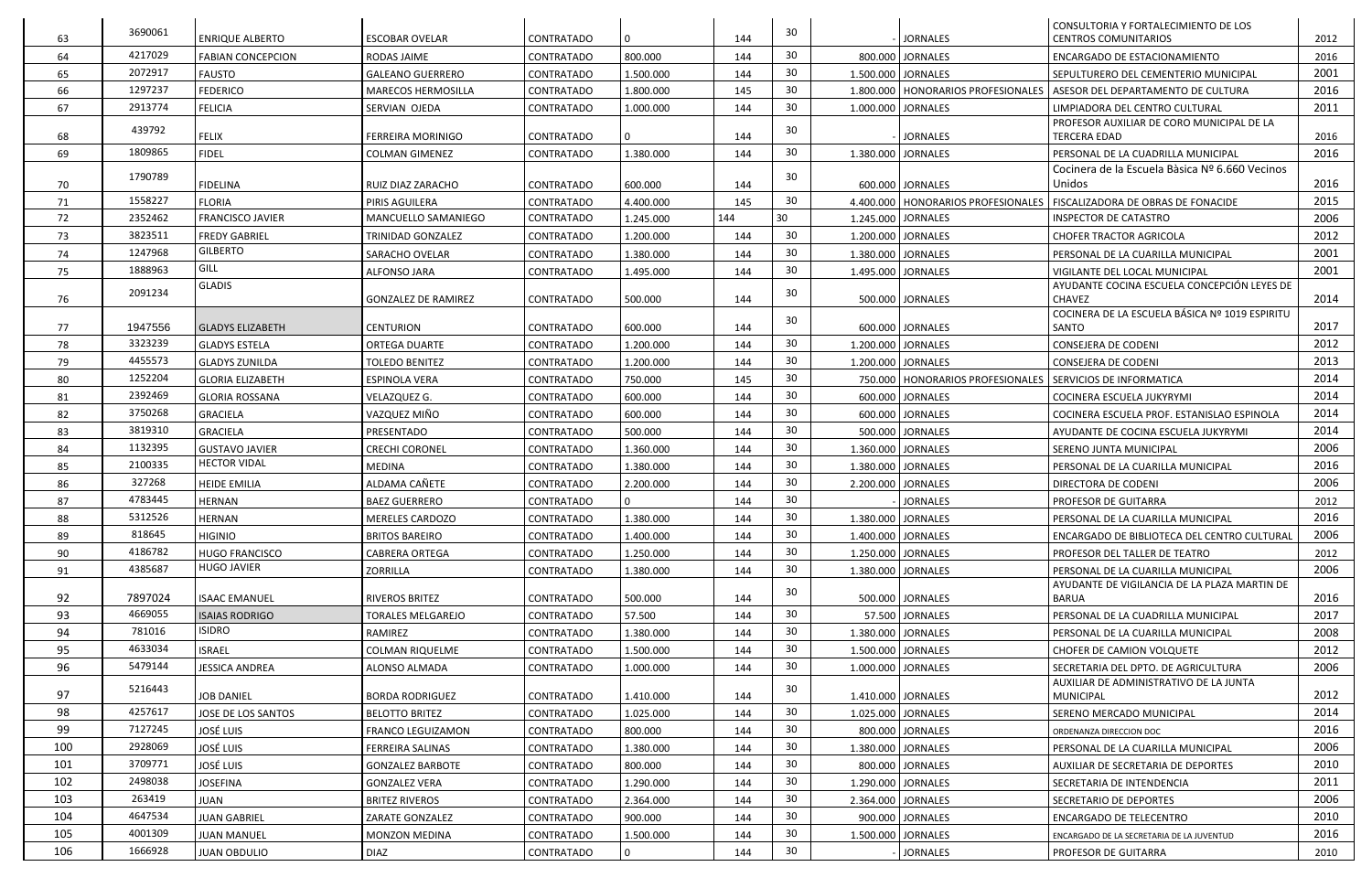|     | 3690061 |                          |                            |                   |                |     | 30 |                                      | CONSULTORIA Y FORTALECIMIENTO DE LOS                             |      |
|-----|---------|--------------------------|----------------------------|-------------------|----------------|-----|----|--------------------------------------|------------------------------------------------------------------|------|
| 63  |         | <b>ENRIQUE ALBERTO</b>   | <b>ESCOBAR OVELAR</b>      | CONTRATADO        | $\overline{0}$ | 144 |    | <b>JORNALES</b>                      | <b>CENTROS COMUNITARIOS</b>                                      | 2012 |
| 64  | 4217029 | <b>FABIAN CONCEPCION</b> | RODAS JAIME                | <b>CONTRATADO</b> | 800.000        | 144 | 30 | 800.000 JORNALES                     | ENCARGADO DE ESTACIONAMIENTO                                     | 2016 |
| 65  | 2072917 | <b>FAUSTO</b>            | <b>GALEANO GUERRERO</b>    | <b>CONTRATADO</b> | 1.500.000      | 144 | 30 | 1.500.000 JORNALES                   | SEPULTURERO DEL CEMENTERIO MUNICIPAL                             | 2001 |
| 66  | 1297237 | <b>FEDERICO</b>          | MARECOS HERMOSILLA         | <b>CONTRATADO</b> | 1.800.000      | 145 | 30 | 1.800.000   HONORARIOS PROFESIONALES | l ASESOR DEL DEPARTAMENTO DE CULTURA                             | 2016 |
| 67  | 2913774 | <b>FELICIA</b>           | SERVIAN OJEDA              | <b>CONTRATADO</b> | 1.000.000      | 144 | 30 | 1.000.000 JORNALES                   | LIMPIADORA DEL CENTRO CULTURAL                                   | 2011 |
| 68  | 439792  | <b>FELIX</b>             | <b>FERREIRA MORINIGO</b>   | <b>CONTRATADO</b> |                | 144 | 30 | <b>JORNALES</b>                      | PROFESOR AUXILIAR DE CORO MUNICIPAL DE LA<br><b>TERCERA EDAD</b> | 2016 |
| 69  | 1809865 | <b>FIDEL</b>             | <b>COLMAN GIMENEZ</b>      | <b>CONTRATADO</b> | 1.380.000      | 144 | 30 | 1.380.000 JORNALES                   | PERSONAL DE LA CUADRILLA MUNICIPAL                               | 2016 |
|     |         |                          |                            |                   |                |     |    |                                      | Cocinera de la Escuela Bàsica Nº 6.660 Vecinos                   |      |
| 70  | 1790789 | <b>FIDELINA</b>          | RUIZ DIAZ ZARACHO          | <b>CONTRATADO</b> | 600.000        | 144 | 30 | 600.000 JORNALES                     | Unidos                                                           | 2016 |
| 71  | 1558227 | <b>FLORIA</b>            | PIRIS AGUILERA             | <b>CONTRATADO</b> | 4.400.000      | 145 | 30 | 4.400.000   HONORARIOS PROFESIONALES | <b>FISCALIZADORA DE OBRAS DE FONACIDE</b>                        | 2015 |
| 72  | 2352462 | <b>FRANCISCO JAVIER</b>  | MANCUELLO SAMANIEGO        | <b>CONTRATADO</b> | 1.245.000      | 144 | 30 | 1.245.000 JORNALES                   | <b>INSPECTOR DE CATASTRO</b>                                     | 2006 |
| 73  | 3823511 | <b>FREDY GABRIEL</b>     | TRINIDAD GONZALEZ          | <b>CONTRATADO</b> | 1.200.000      | 144 | 30 | 1.200.000 JORNALES                   | <b>CHOFER TRACTOR AGRICOLA</b>                                   | 2012 |
| 74  | 1247968 | <b>GILBERTO</b>          | SARACHO OVELAR             | <b>CONTRATADO</b> | 1.380.000      | 144 | 30 | 1.380.000 JORNALES                   | PERSONAL DE LA CUARILLA MUNICIPAL                                | 2001 |
| 75  | 1888963 | GILL                     | <b>ALFONSO JARA</b>        | <b>CONTRATADO</b> | 1.495.000      | 144 | 30 | 1.495.000 JORNALES                   | VIGILANTE DEL LOCAL MUNICIPAL                                    | 2001 |
|     | 2091234 | <b>GLADIS</b>            |                            |                   |                |     | 30 |                                      | AYUDANTE COCINA ESCUELA CONCEPCIÓN LEYES DE                      |      |
| 76  |         |                          | <b>GONZALEZ DE RAMIREZ</b> | <b>CONTRATADO</b> | 500.000        | 144 |    | 500.000 JORNALES                     | <b>CHAVEZ</b>                                                    | 2014 |
| 77  | 1947556 | <b>GLADYS ELIZABETH</b>  | <b>CENTURION</b>           | CONTRATADO        | 600.000        | 144 | 30 | 600.000 JORNALES                     | COCINERA DE LA ESCUELA BÁSICA Nº 1019 ESPIRITU<br>SANTO          | 2017 |
| 78  | 3323239 | <b>GLADYS ESTELA</b>     | <b>ORTEGA DUARTE</b>       | <b>CONTRATADO</b> | 1.200.000      | 144 | 30 | 1.200.000 JORNALES                   | <b>CONSEJERA DE CODENI</b>                                       | 2012 |
| 79  | 4455573 | <b>GLADYS ZUNILDA</b>    | <b>TOLEDO BENITEZ</b>      | <b>CONTRATADO</b> | 1.200.000      | 144 | 30 | 1.200.000 JORNALES                   | <b>CONSEJERA DE CODENI</b>                                       | 2013 |
| 80  | 1252204 | <b>GLORIA ELIZABETH</b>  | <b>ESPINOLA VERA</b>       | <b>CONTRATADO</b> | 750.000        | 145 | 30 | 750.000   HONORARIOS PROFESIONALES   | <b>SERVICIOS DE INFORMATICA</b>                                  | 2014 |
| 81  | 2392469 | <b>GLORIA ROSSANA</b>    | VELAZQUEZ G.               | <b>CONTRATADO</b> | 600.000        | 144 | 30 | 600.000 JORNALES                     | COCINERA ESCUELA JUKYRYMI                                        | 2014 |
| 82  | 3750268 | <b>GRACIELA</b>          | VAZQUEZ MIÑO               | <b>CONTRATADO</b> | 600.000        | 144 | 30 | 600.000 JORNALES                     | COCINERA ESCUELA PROF. ESTANISLAO ESPINOLA                       | 2014 |
| 83  | 3819310 | <b>GRACIELA</b>          | PRESENTADO                 | <b>CONTRATADO</b> | 500.000        | 144 | 30 | 500.000 JORNALES                     | AYUDANTE DE COCINA ESCUELA JUKYRYMI                              | 2014 |
| 84  | 1132395 | <b>GUSTAVO JAVIER</b>    | <b>CRECHI CORONEL</b>      | <b>CONTRATADO</b> | 1.360.000      | 144 | 30 | 1.360.000 JORNALES                   | SERENO JUNTA MUNICIPAL                                           | 2006 |
| 85  | 2100335 | <b>HECTOR VIDAL</b>      | <b>MEDINA</b>              | <b>CONTRATADO</b> | 1.380.000      | 144 | 30 | 1.380.000 JORNALES                   | PERSONAL DE LA CUARILLA MUNICIPAL                                | 2016 |
| 86  | 327268  | <b>HEIDE EMILIA</b>      | ALDAMA CAÑETE              | CONTRATADO        | 2.200.000      | 144 | 30 | 2.200.000 JORNALES                   | <b>DIRECTORA DE CODENI</b>                                       | 2006 |
| 87  | 4783445 | <b>HERNAN</b>            | <b>BAEZ GUERRERO</b>       | <b>CONTRATADO</b> | $\overline{0}$ | 144 | 30 | <b>JORNALES</b>                      | <b>PROFESOR DE GUITARRA</b>                                      | 2012 |
| 88  | 5312526 | <b>HERNAN</b>            | MERELES CARDOZO            | CONTRATADO        | 1.380.000      | 144 | 30 | 1.380.000 JORNALES                   | PERSONAL DE LA CUARILLA MUNICIPAL                                | 2016 |
| 89  | 818645  | <b>HIGINIO</b>           | <b>BRITOS BAREIRO</b>      | <b>CONTRATADO</b> | 1.400.000      | 144 | 30 | 1.400.000 JORNALES                   | ENCARGADO DE BIBLIOTECA DEL CENTRO CULTURAL                      | 2006 |
| 90  | 4186782 | HUGO FRANCISCO           | <b>CABRERA ORTEGA</b>      | CONTRATADO        | 1.250.000      | 144 | 30 | 1.250.000 JORNALES                   | l PROFESOR DEL TALLER DE TEATRO                                  | 2012 |
| 91  | 4385687 | <b>HUGO JAVIER</b>       | ZORRILLA                   | <b>CONTRATADO</b> | 1.380.000      | 144 | 30 | 1.380.000 JORNALES                   | PERSONAL DE LA CUARILLA MUNICIPAL                                | 2006 |
|     |         |                          |                            |                   |                |     |    |                                      | AYUDANTE DE VIGILANCIA DE LA PLAZA MARTIN DE                     |      |
| 92  | 7897024 | <b>ISAAC EMANUEL</b>     | <b>RIVEROS BRITEZ</b>      | CONTRATADO        | 500.000        | 144 | 30 | 500.000 JORNALES                     | <b>BARUA</b>                                                     | 2016 |
| 93  | 4669055 | <b>ISAIAS RODRIGO</b>    | <b>TORALES MELGAREJO</b>   | <b>CONTRATADO</b> | 57.500         | 144 | 30 | 57.500 JORNALES                      | PERSONAL DE LA CUADRILLA MUNICIPAL                               | 2017 |
| 94  | 781016  | <b>ISIDRO</b>            | RAMIREZ                    | <b>CONTRATADO</b> | 1.380.000      | 144 | 30 | 1.380.000 JORNALES                   | PERSONAL DE LA CUARILLA MUNICIPAL                                | 2008 |
| 95  | 4633034 | <b>ISRAEL</b>            | <b>COLMAN RIQUELME</b>     | CONTRATADO        | 1.500.000      | 144 | 30 | 1.500.000 JORNALES                   | CHOFER DE CAMION VOLQUETE                                        | 2012 |
| 96  | 5479144 | <b>JESSICA ANDREA</b>    | ALONSO ALMADA              | <b>CONTRATADO</b> | 1.000.000      | 144 | 30 | 1.000.000 JORNALES                   | SECRETARIA DEL DPTO. DE AGRICULTURA                              | 2006 |
|     | 5216443 |                          |                            |                   |                |     | 30 |                                      | AUXILIAR DE ADMINISTRATIVO DE LA JUNTA                           |      |
| 97  |         | <b>JOB DANIEL</b>        | <b>BORDA RODRIGUEZ</b>     | <b>CONTRATADO</b> | 1.410.000      | 144 |    | 1.410.000 JORNALES                   | <b>MUNICIPAL</b>                                                 | 2012 |
| 98  | 4257617 | JOSE DE LOS SANTOS       | <b>BELOTTO BRITEZ</b>      | CONTRATADO        | 1.025.000      | 144 | 30 | 1.025.000 JORNALES                   | SERENO MERCADO MUNICIPAL                                         | 2014 |
| 99  | 7127245 | José Luis                | <b>FRANCO LEGUIZAMON</b>   | CONTRATADO        | 800.000        | 144 | 30 | 800.000 JORNALES                     | ORDENANZA DIRECCION DOC                                          | 2016 |
| 100 | 2928069 | <b>JOSÉ LUIS</b>         | <b>FERREIRA SALINAS</b>    | <b>CONTRATADO</b> | 1.380.000      | 144 | 30 | 1.380.000 JORNALES                   | PERSONAL DE LA CUARILLA MUNICIPAL                                | 2006 |
| 101 | 3709771 | José Luis                | <b>GONZALEZ BARBOTE</b>    | CONTRATADO        | 800.000        | 144 | 30 | 800.000 JORNALES                     | <b>AUXILIAR DE SECRETARIA DE DEPORTES</b>                        | 2010 |
| 102 | 2498038 | <b>JOSEFINA</b>          | <b>GONZALEZ VERA</b>       | <b>CONTRATADO</b> | 1.290.000      | 144 | 30 | 1.290.000 JORNALES                   | SECRETARIA DE INTENDENCIA                                        | 2011 |
| 103 | 263419  | <b>JUAN</b>              | <b>BRITEZ RIVEROS</b>      | CONTRATADO        | 2.364.000      | 144 | 30 | 2.364.000 JORNALES                   | SECRETARIO DE DEPORTES                                           | 2006 |
| 104 | 4647534 | <b>JUAN GABRIEL</b>      | ZARATE GONZALEZ            | CONTRATADO        | 900.000        | 144 | 30 | 900.000 JORNALES                     | ENCARGADO DE TELECENTRO                                          | 2010 |
| 105 | 4001309 | <b>JUAN MANUEL</b>       | MONZON MEDINA              | <b>CONTRATADO</b> | 1.500.000      | 144 | 30 | 1.500.000 JORNALES                   | ENCARGADO DE LA SECRETARIA DE LA JUVENTUD                        | 2016 |
| 106 | 1666928 | <b>JUAN OBDULIO</b>      | <b>DIAZ</b>                | CONTRATADO        | $\mathbf{0}$   | 144 | 30 | <b>JORNALES</b>                      | <b>PROFESOR DE GUITARRA</b>                                      | 2010 |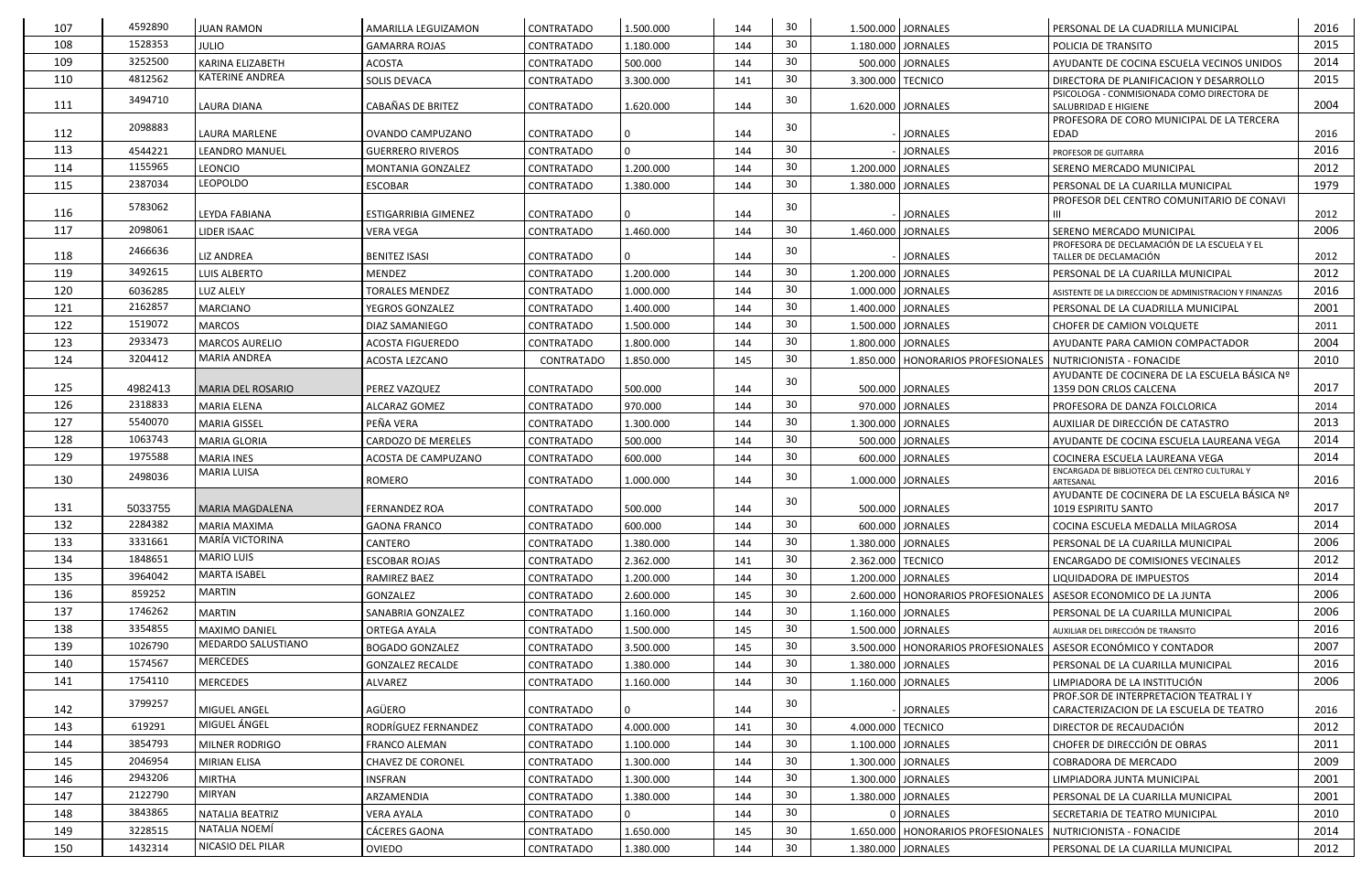| 107 | 4592890 | <b>JUAN RAMON</b>      | AMARILLA LEGUIZAMON         | CONTRATADO        | 1.500.000 | 144 | 30 |                   | 1.500.000 JORNALES                   | PERSONAL DE LA CUADRILLA MUNICIPAL                                                | 2016 |
|-----|---------|------------------------|-----------------------------|-------------------|-----------|-----|----|-------------------|--------------------------------------|-----------------------------------------------------------------------------------|------|
| 108 | 1528353 | <b>JULIO</b>           | <b>GAMARRA ROJAS</b>        | <b>CONTRATADO</b> | 1.180.000 | 144 | 30 |                   | 1.180.000 JORNALES                   | POLICIA DE TRANSITO                                                               | 2015 |
| 109 | 3252500 | KARINA ELIZABETH       | <b>ACOSTA</b>               | CONTRATADO        | 500.000   | 144 | 30 |                   | 500.000 JORNALES                     | AYUDANTE DE COCINA ESCUELA VECINOS UNIDOS                                         | 2014 |
| 110 | 4812562 | <b>KATERINE ANDREA</b> | <b>SOLIS DEVACA</b>         | <b>CONTRATADO</b> | 3.300.000 | 141 | 30 | 3.300.000 TECNICO |                                      | DIRECTORA DE PLANIFICACION Y DESARROLLO                                           | 2015 |
| 111 | 3494710 | <b>LAURA DIANA</b>     | <b>CABAÑAS DE BRITEZ</b>    | <b>CONTRATADO</b> | 1.620.000 | 144 | 30 |                   | 1.620.000 JORNALES                   | PSICOLOGA - CONMISIONADA COMO DIRECTORA DE<br><b>SALUBRIDAD E HIGIENE</b>         | 2004 |
| 112 | 2098883 | LAURA MARLENE          | OVANDO CAMPUZANO            | CONTRATADO        | l 0       | 144 | 30 |                   | <b>JORNALES</b>                      | PROFESORA DE CORO MUNICIPAL DE LA TERCERA<br>l EDAD                               | 2016 |
| 113 | 4544221 | <b>LEANDRO MANUEL</b>  | <b>GUERRERO RIVEROS</b>     | <b>CONTRATADO</b> | 0         | 144 | 30 |                   | <b>JORNALES</b>                      | PROFESOR DE GUITARRA                                                              | 2016 |
| 114 | 1155965 | <b>LEONCIO</b>         | MONTANIA GONZALEZ           | <b>CONTRATADO</b> | 1.200.000 | 144 | 30 |                   | 1.200.000 JORNALES                   | I SERENO MERCADO MUNICIPAL                                                        | 2012 |
| 115 | 2387034 | <b>LEOPOLDO</b>        | ESCOBAR                     | <b>CONTRATADO</b> | 1.380.000 | 144 | 30 |                   | 1.380.000 JORNALES                   | PERSONAL DE LA CUARILLA MUNICIPAL                                                 | 1979 |
| 116 | 5783062 | LEYDA FABIANA          | <b>ESTIGARRIBIA GIMENEZ</b> | CONTRATADO        | 0         | 144 | 30 |                   | <b>JORNALES</b>                      | PROFESOR DEL CENTRO COMUNITARIO DE CONAVI                                         | 2012 |
| 117 | 2098061 | LIDER ISAAC            | <b>VERA VEGA</b>            | <b>CONTRATADO</b> | 1.460.000 | 144 | 30 |                   | 1.460.000 JORNALES                   | SERENO MERCADO MUNICIPAL                                                          | 2006 |
| 118 | 2466636 | <b>LIZ ANDREA</b>      | <b>BENITEZ ISASI</b>        | CONTRATADO        |           | 144 | 30 |                   | <b>JORNALES</b>                      | PROFESORA DE DECLAMACIÓN DE LA ESCUELA Y EL<br>TALLER DE DECLAMACIÓN              | 2012 |
| 119 | 3492615 | LUIS ALBERTO           | <b>MENDEZ</b>               | <b>CONTRATADO</b> | 1.200.000 | 144 | 30 |                   | 1.200.000 JORNALES                   | PERSONAL DE LA CUARILLA MUNICIPAL                                                 | 2012 |
| 120 | 6036285 | LUZ ALELY              | <b>TORALES MENDEZ</b>       | <b>CONTRATADO</b> | 1.000.000 | 144 | 30 |                   | 1.000.000 JORNALES                   | ASISTENTE DE LA DIRECCION DE ADMINISTRACION Y FINANZAS                            | 2016 |
| 121 | 2162857 | <b>MARCIANO</b>        | YEGROS GONZALEZ             | <b>CONTRATADO</b> | 1.400.000 | 144 | 30 |                   | 1.400.000 JORNALES                   | PERSONAL DE LA CUADRILLA MUNICIPAL                                                | 2001 |
| 122 | 1519072 | <b>MARCOS</b>          | DIAZ SAMANIEGO              | <b>CONTRATADO</b> | 1.500.000 | 144 | 30 |                   | 1.500.000 JORNALES                   | <b>CHOFER DE CAMION VOLQUETE</b>                                                  | 2011 |
| 123 | 2933473 | <b>MARCOS AURELIO</b>  | <b>ACOSTA FIGUEREDO</b>     | <b>CONTRATADO</b> | 1.800.000 | 144 | 30 |                   | 1.800.000 JORNALES                   | <b>AYUDANTE PARA CAMION COMPACTADOR</b>                                           | 2004 |
| 124 | 3204412 | <b>MARIA ANDREA</b>    | ACOSTA LEZCANO              | CONTRATADO        | 1.850.000 | 145 | 30 |                   | 1.850.000   HONORARIOS PROFESIONALES | <b>NUTRICIONISTA - FONACIDE</b>                                                   | 2010 |
| 125 | 4982413 | MARIA DEL ROSARIO      | <b>PEREZ VAZQUEZ</b>        | <b>CONTRATADO</b> | 500.000   | 144 | 30 |                   | 500.000 JORNALES                     | AYUDANTE DE COCINERA DE LA ESCUELA BÁSICA Nº<br>1359 DON CRLOS CALCENA            | 2017 |
| 126 | 2318833 | <b>MARIA ELENA</b>     | <b>ALCARAZ GOMEZ</b>        | <b>CONTRATADO</b> | 970.000   | 144 | 30 |                   | 970.000 JORNALES                     | PROFESORA DE DANZA FOLCLORICA                                                     | 2014 |
| 127 | 5540070 | <b>MARIA GISSEL</b>    | PEÑA VERA                   | <b>CONTRATADO</b> | 1.300.000 | 144 | 30 |                   | 1.300.000 JORNALES                   | AUXILIAR DE DIRECCIÓN DE CATASTRO                                                 | 2013 |
| 128 | 1063743 | <b>MARIA GLORIA</b>    | <b>CARDOZO DE MERELES</b>   | <b>CONTRATADO</b> | 500.000   | 144 | 30 |                   | 500.000 JORNALES                     | AYUDANTE DE COCINA ESCUELA LAUREANA VEGA                                          | 2014 |
| 129 | 1975588 | <b>MARIA INES</b>      | ACOSTA DE CAMPUZANO         | <b>CONTRATADO</b> | 600.000   | 144 | 30 |                   | 600.000 JORNALES                     | COCINERA ESCUELA LAUREANA VEGA                                                    | 2014 |
| 130 | 2498036 | <b>MARIA LUISA</b>     | <b>ROMERO</b>               | CONTRATADO        | 1.000.000 | 144 | 30 |                   | 1.000.000 JORNALES                   | <b>ENCARGADA DE BIBLIOTECA DEL CENTRO CULTURAL Y</b>                              | 2016 |
|     |         |                        |                             |                   |           |     |    |                   |                                      | ARTESANAL<br>AYUDANTE DE COCINERA DE LA ESCUELA BÁSICA Nº                         |      |
| 131 | 5033755 | <b>MARIA MAGDALENA</b> | <b>FERNANDEZ ROA</b>        | CONTRATADO        | 500.000   | 144 | 30 |                   | 500.000 JORNALES                     | 1019 ESPIRITU SANTO                                                               | 2017 |
| 132 | 2284382 | <b>MARIA MAXIMA</b>    | <b>GAONA FRANCO</b>         | <b>CONTRATADO</b> | 600.000   | 144 | 30 |                   | 600.000 JORNALES                     | COCINA ESCUELA MEDALLA MILAGROSA                                                  | 2014 |
| 133 | 3331661 | MARÍA VICTORINA        | CANTERO                     | <b>CONTRATADO</b> | 1.380.000 | 144 | 30 |                   | 1.380.000 JORNALES                   | PERSONAL DE LA CUARILLA MUNICIPAL                                                 | 2006 |
| 134 | 1848651 | <b>MARIO LUIS</b>      | <b>ESCOBAR ROJAS</b>        | CONTRATADO        | 2.362.000 | 141 | 30 | 2.362.000 TECNICO |                                      | <b>LENCARGADO DE COMISIONES VECINALES</b>                                         | 2012 |
| 135 | 3964042 | <b>MARTA ISABEL</b>    | <b>RAMIREZ BAEZ</b>         | CONTRATADO        | 1.200.000 | 144 | 30 |                   | 1.200.000 JORNALES                   | <b>LIQUIDADORA DE IMPUESTOS</b>                                                   | 2014 |
| 136 | 859252  | <b>MARTIN</b>          | GONZALEZ                    | CONTRATADO        | 2.600.000 | 145 | 30 |                   | 2.600.000   HONORARIOS PROFESIONALES | ASESOR ECONOMICO DE LA JUNTA                                                      | 2006 |
| 137 | 1746262 | <b>MARTIN</b>          | SANABRIA GONZALEZ           | CONTRATADO        | 1.160.000 | 144 | 30 |                   | 1.160.000 JORNALES                   | PERSONAL DE LA CUARILLA MUNICIPAL                                                 | 2006 |
| 138 | 3354855 | <b>MAXIMO DANIEL</b>   | ORTEGA AYALA                | <b>CONTRATADO</b> | 1.500.000 | 145 | 30 |                   | 1.500.000   JORNALES                 | AUXILIAR DEL DIRECCIÓN DE TRANSITO                                                | 2016 |
| 139 | 1026790 | MEDARDO SALUSTIANO     | <b>BOGADO GONZALEZ</b>      | CONTRATADO        | 3.500.000 | 145 | 30 |                   |                                      | 3.500.000   HONORARIOS PROFESIONALES   ASESOR ECONÓMICO Y CONTADOR                | 2007 |
| 140 | 1574567 | <b>MERCEDES</b>        | <b>GONZALEZ RECALDE</b>     | CONTRATADO        | 1.380.000 | 144 | 30 |                   | 1.380.000 JORNALES                   | PERSONAL DE LA CUARILLA MUNICIPAL                                                 | 2016 |
| 141 | 1754110 | <b>MERCEDES</b>        | ALVAREZ                     | <b>CONTRATADO</b> | 1.160.000 | 144 | 30 |                   | 1.160.000 JORNALES                   | LIMPIADORA DE LA INSTITUCIÓN                                                      | 2006 |
| 142 | 3799257 | <b>MIGUEL ANGEL</b>    | AGÜERO                      | CONTRATADO        |           | 144 | 30 |                   | <b>JORNALES</b>                      | PROF.SOR DE INTERPRETACION TEATRAL I Y<br>CARACTERIZACION DE LA ESCUELA DE TEATRO | 2016 |
| 143 | 619291  | MIGUEL ÁNGEL           | RODRÍGUEZ FERNANDEZ         | <b>CONTRATADO</b> | 4.000.000 | 141 | 30 | 4.000.000 TECNICO |                                      | <b>DIRECTOR DE RECAUDACIÓN</b>                                                    | 2012 |
| 144 | 3854793 | <b>MILNER RODRIGO</b>  | <b>FRANCO ALEMAN</b>        | <b>CONTRATADO</b> | 1.100.000 | 144 | 30 |                   | 1.100.000   JORNALES                 | CHOFER DE DIRECCIÓN DE OBRAS                                                      | 2011 |
| 145 | 2046954 | <b>MIRIAN ELISA</b>    | <b>CHAVEZ DE CORONEL</b>    | CONTRATADO        | 1.300.000 | 144 | 30 |                   | 1.300.000 JORNALES                   | COBRADORA DE MERCADO                                                              | 2009 |
| 146 | 2943206 | <b>MIRTHA</b>          | INSFRAN                     | CONTRATADO        | 1.300.000 | 144 | 30 |                   | 1.300.000 JORNALES                   | LIMPIADORA JUNTA MUNICIPAL                                                        | 2001 |
| 147 | 2122790 | MIRYAN                 | ARZAMENDIA                  | CONTRATADO        | 1.380.000 | 144 | 30 |                   | 1.380.000 JORNALES                   | PERSONAL DE LA CUARILLA MUNICIPAL                                                 | 2001 |
| 148 | 3843865 | NATALIA BEATRIZ        | <b>VERA AYALA</b>           | CONTRATADO        |           | 144 | 30 |                   | 0 JORNALES                           | SECRETARIA DE TEATRO MUNICIPAL                                                    | 2010 |
| 149 | 3228515 | NATALIA NOEMÍ          | CÁCERES GAONA               | <b>CONTRATADO</b> | 1.650.000 | 145 | 30 |                   | 1.650.000   HONORARIOS PROFESIONALES | NUTRICIONISTA - FONACIDE                                                          | 2014 |
| 150 | 1432314 | NICASIO DEL PILAR      | <b>OVIEDO</b>               | CONTRATADO        | 1.380.000 | 144 | 30 |                   | 1.380.000 JORNALES                   | PERSONAL DE LA CUARILLA MUNICIPAL                                                 | 2012 |
|     |         |                        |                             |                   |           |     |    |                   |                                      |                                                                                   |      |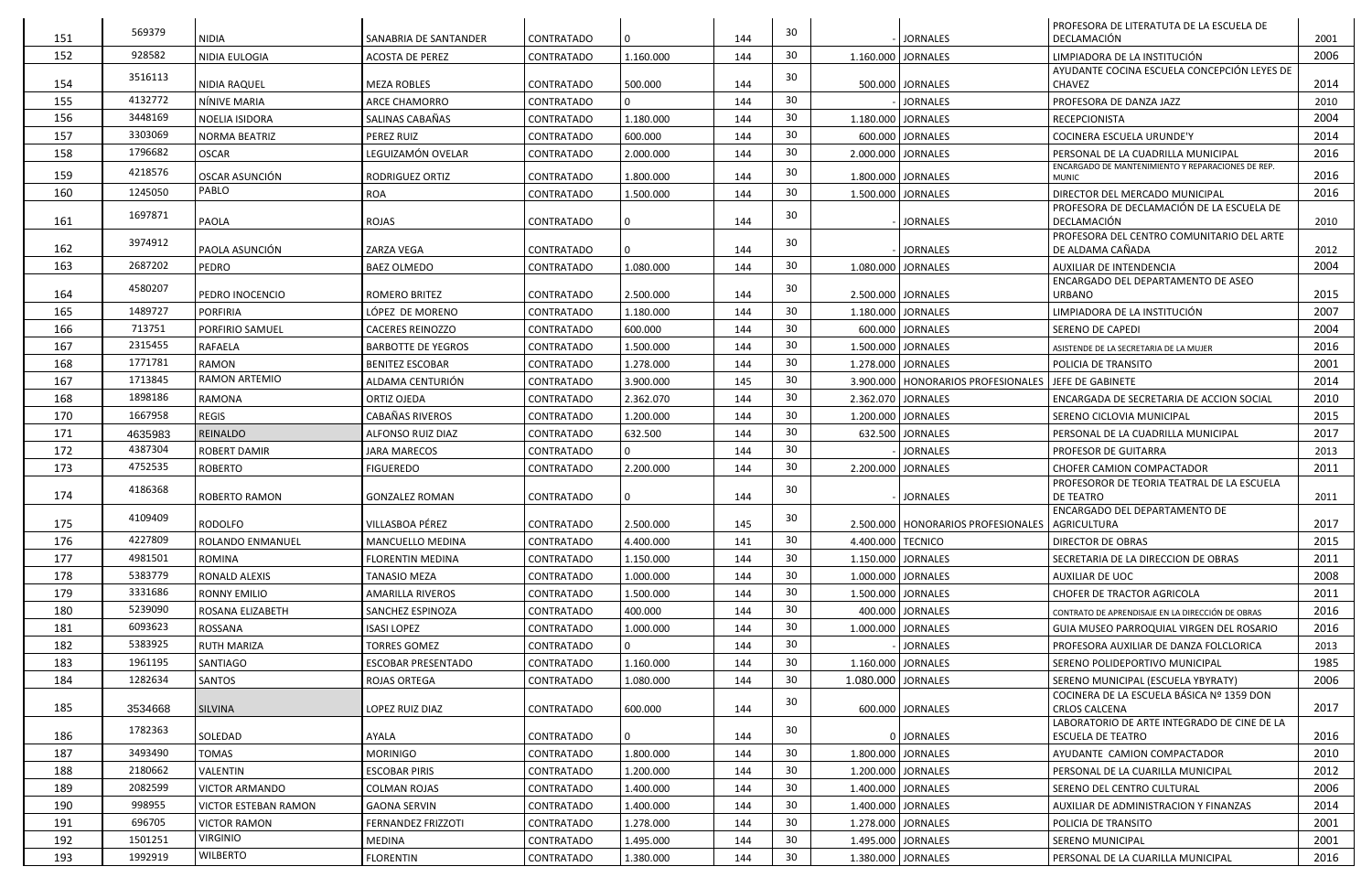|     | 569379  |                             |                           |                   |                |     | 30 |                    |                                                    | <b>PROFESORA DE LITERATUTA DE LA ESCUELA DE</b>                             |      |
|-----|---------|-----------------------------|---------------------------|-------------------|----------------|-----|----|--------------------|----------------------------------------------------|-----------------------------------------------------------------------------|------|
| 151 |         | <b>NIDIA</b>                | SANABRIA DE SANTANDER     | CONTRATADO        | $\overline{0}$ | 144 |    |                    | <b>JORNALES</b>                                    | DECLAMACIÓN                                                                 | 2001 |
| 152 | 928582  | NIDIA EULOGIA               | <b>ACOSTA DE PEREZ</b>    | <b>CONTRATADO</b> | 1.160.000      | 144 | 30 |                    | 1.160.000 JORNALES                                 | LIMPIADORA DE LA INSTITUCIÓN                                                | 2006 |
| 154 | 3516113 | NIDIA RAQUEL                | <b>MEZA ROBLES</b>        | CONTRATADO        | 500.000        | 144 | 30 |                    | 500.000 JORNALES                                   | AYUDANTE COCINA ESCUELA CONCEPCIÓN LEYES DE<br><b>CHAVEZ</b>                | 2014 |
| 155 | 4132772 | NÍNIVE MARIA                | <b>ARCE CHAMORRO</b>      | <b>CONTRATADO</b> | $\Omega$       | 144 | 30 |                    | <b>JORNALES</b>                                    | <b>PROFESORA DE DANZA JAZZ</b>                                              | 2010 |
| 156 | 3448169 | NOELIA ISIDORA              | SALINAS CABAÑAS           | CONTRATADO        | 1.180.000      | 144 | 30 |                    | 1.180.000 JORNALES                                 | <b>RECEPCIONISTA</b>                                                        | 2004 |
| 157 | 3303069 | <b>NORMA BEATRIZ</b>        | PEREZ RUIZ                | <b>CONTRATADO</b> | 600.000        | 144 | 30 |                    | 600.000 JORNALES                                   | <b>COCINERA ESCUELA URUNDE'Y</b>                                            | 2014 |
| 158 | 1796682 | <b>OSCAR</b>                | LEGUIZAMÓN OVELAR         | <b>CONTRATADO</b> | 2.000.000      | 144 | 30 |                    | 2.000.000 JORNALES                                 | PERSONAL DE LA CUADRILLA MUNICIPAL                                          | 2016 |
|     | 4218576 |                             |                           |                   |                |     | 30 |                    |                                                    | ENCARGADO DE MANTENIMIENTO Y REPARACIONES DE REP.                           |      |
| 159 |         | OSCAR ASUNCIÓN<br>PABLO     | RODRIGUEZ ORTIZ           | <b>CONTRATADO</b> | 1.800.000      | 144 |    |                    | 1.800.000 JORNALES                                 | <b>MUNIC</b>                                                                | 2016 |
| 160 | 1245050 |                             | <b>ROA</b>                | <b>CONTRATADO</b> | 1.500.000      | 144 | 30 |                    | 1.500.000 JORNALES                                 | DIRECTOR DEL MERCADO MUNICIPAL<br>PROFESORA DE DECLAMACIÓN DE LA ESCUELA DE | 2016 |
| 161 | 1697871 | PAOLA                       | <b>ROJAS</b>              | <b>CONTRATADO</b> | $\mathbf 0$    | 144 | 30 |                    | <b>JORNALES</b>                                    | DECLAMACIÓN                                                                 | 2010 |
|     | 3974912 |                             |                           |                   |                |     | 30 |                    |                                                    | PROFESORA DEL CENTRO COMUNITARIO DEL ARTE                                   |      |
| 162 |         | PAOLA ASUNCIÓN              | ZARZA VEGA                | <b>CONTRATADO</b> | $\overline{0}$ | 144 |    |                    | <b>JORNALES</b>                                    | DE ALDAMA CAÑADA                                                            | 2012 |
| 163 | 2687202 | PEDRO                       | <b>BAEZ OLMEDO</b>        | CONTRATADO        | 1.080.000      | 144 | 30 |                    | 1.080.000 JORNALES                                 | <b>AUXILIAR DE INTENDENCIA</b>                                              | 2004 |
| 164 | 4580207 | PEDRO INOCENCIO             | ROMERO BRITEZ             | <b>CONTRATADO</b> | 2.500.000      | 144 | 30 |                    | 2.500.000 JORNALES                                 | <b>ENCARGADO DEL DEPARTAMENTO DE ASEO</b><br><b>URBANO</b>                  | 2015 |
| 165 | 1489727 | <b>PORFIRIA</b>             | LÓPEZ DE MORENO           | CONTRATADO        | 1.180.000      | 144 | 30 |                    | 1.180.000 JORNALES                                 | LIMPIADORA DE LA INSTITUCIÓN                                                | 2007 |
| 166 | 713751  | PORFIRIO SAMUEL             | <b>CACERES REINOZZO</b>   | CONTRATADO        | 600.000        | 144 | 30 |                    | 600.000 JORNALES                                   | <b>SERENO DE CAPEDI</b>                                                     | 2004 |
| 167 | 2315455 | RAFAELA                     | <b>BARBOTTE DE YEGROS</b> | CONTRATADO        | 1.500.000      | 144 | 30 |                    | 1.500.000 JORNALES                                 | ASISTENDE DE LA SECRETARIA DE LA MUJER                                      | 2016 |
| 168 | 1771781 | RAMON                       | <b>BENITEZ ESCOBAR</b>    | CONTRATADO        | 1.278.000      | 144 | 30 |                    | 1.278.000 JORNALES                                 | POLICIA DE TRANSITO                                                         | 2001 |
| 167 | 1713845 | <b>RAMON ARTEMIO</b>        | ALDAMA CENTURIÓN          | CONTRATADO        | 3.900.000      | 145 | 30 |                    | 3.900.000   HONORARIOS PROFESIONALES               | <b>I JEFE DE GABINETE</b>                                                   | 2014 |
| 168 | 1898186 | RAMONA                      | ORTIZ OJEDA               | <b>CONTRATADO</b> | 2.362.070      | 144 | 30 |                    | 2.362.070 JORNALES                                 | ENCARGADA DE SECRETARIA DE ACCION SOCIAL                                    | 2010 |
| 170 | 1667958 | <b>REGIS</b>                | CABAÑAS RIVEROS           | <b>CONTRATADO</b> | 1.200.000      | 144 | 30 |                    | 1.200.000 JORNALES                                 | SERENO CICLOVIA MUNICIPAL                                                   | 2015 |
| 171 | 4635983 | REINALDO                    | ALFONSO RUIZ DIAZ         | <b>CONTRATADO</b> | 632.500        | 144 | 30 |                    | 632.500 JORNALES                                   | PERSONAL DE LA CUADRILLA MUNICIPAL                                          | 2017 |
| 172 | 4387304 | <b>ROBERT DAMIR</b>         | <b>JARA MARECOS</b>       | <b>CONTRATADO</b> | $\Omega$       | 144 | 30 |                    | <b>JORNALES</b>                                    | <b>PROFESOR DE GUITARRA</b>                                                 | 2013 |
| 173 | 4752535 | <b>ROBERTO</b>              | <b>FIGUEREDO</b>          | CONTRATADO        | 2.200.000      | 144 | 30 |                    | 2.200.000 JORNALES                                 | <b>CHOFER CAMION COMPACTADOR</b>                                            | 2011 |
|     | 4186368 |                             |                           |                   |                |     | 30 |                    |                                                    | PROFESOROR DE TEORIA TEATRAL DE LA ESCUELA                                  |      |
| 174 |         | ROBERTO RAMON               | <b>GONZALEZ ROMAN</b>     | CONTRATADO        | 0              | 144 |    |                    | <b>JORNALES</b>                                    | <b>DE TEATRO</b><br><b>ENCARGADO DEL DEPARTAMENTO DE</b>                    | 2011 |
| 175 | 4109409 | RODOLFO                     | VILLASBOA PÉREZ           | CONTRATADO        | 2.500.000      | 145 | 30 |                    | 2.500.000   HONORARIOS PROFESIONALES   AGRICULTURA |                                                                             | 2017 |
| 176 | 4227809 | ROLANDO ENMANUEL            | MANCUELLO MEDINA          | CONTRATADO        | 4.400.000      | 141 | 30 | 4.400.000 TECNICO  |                                                    | <b>DIRECTOR DE OBRAS</b>                                                    | 2015 |
| 177 | 4981501 | <b>ROMINA</b>               | FLORENTIN MEDINA          | CONTRATADO        | 1.150.000      | 144 | 30 |                    | 1.150.000 JORNALES                                 | SECRETARIA DE LA DIRECCION DE OBRAS                                         | 2011 |
| 178 | 5383779 | <b>RONALD ALEXIS</b>        | <b>TANASIO MEZA</b>       | CONTRATADO        | 1.000.000      | 144 | 30 |                    | 1.000.000 JORNALES                                 | <b>AUXILIAR DE UOC</b>                                                      | 2008 |
| 179 | 3331686 | <b>RONNY EMILIO</b>         | AMARILLA RIVEROS          | CONTRATADO        | 1.500.000      | 144 | 30 |                    | 1.500.000 JORNALES                                 | <b>CHOFER DE TRACTOR AGRICOLA</b>                                           | 2011 |
| 180 | 5239090 | ROSANA ELIZABETH            | SANCHEZ ESPINOZA          | CONTRATADO        | 400.000        | 144 | 30 |                    | 400.000 JORNALES                                   | CONTRATO DE APRENDISAJE EN LA DIRECCIÓN DE OBRAS                            | 2016 |
| 181 | 6093623 | ROSSANA                     | <b>ISASI LOPEZ</b>        | <b>CONTRATADO</b> | 1.000.000      | 144 | 30 |                    | 1.000.000 JORNALES                                 | GUIA MUSEO PARROQUIAL VIRGEN DEL ROSARIO                                    | 2016 |
| 182 | 5383925 | <b>RUTH MARIZA</b>          | <b>TORRES GOMEZ</b>       | CONTRATADO        | $\Omega$       | 144 | 30 |                    | <b>JORNALES</b>                                    | PROFESORA AUXILIAR DE DANZA FOLCLORICA                                      | 2013 |
| 183 | 1961195 | SANTIAGO                    | <b>ESCOBAR PRESENTADO</b> | CONTRATADO        | 1.160.000      | 144 | 30 |                    | 1.160.000 JORNALES                                 | SERENO POLIDEPORTIVO MUNICIPAL                                              | 1985 |
| 184 | 1282634 | SANTOS                      | <b>ROJAS ORTEGA</b>       | <b>CONTRATADO</b> | 1.080.000      | 144 | 30 | 1.080.000 JORNALES |                                                    | SERENO MUNICIPAL (ESCUELA YBYRATY)                                          | 2006 |
|     |         |                             |                           |                   |                |     | 30 |                    |                                                    | COCINERA DE LA ESCUELA BÁSICA Nº 1359 DON                                   |      |
| 185 | 3534668 | <b>SILVINA</b>              | LOPEZ RUIZ DIAZ           | CONTRATADO        | 600.000        | 144 |    |                    | 600.000 JORNALES                                   | <b>CRLOS CALCENA</b><br>LABORATORIO DE ARTE INTEGRADO DE CINE DE LA         | 2017 |
| 186 | 1782363 | SOLEDAD                     | AYALA                     | CONTRATADO        | $\overline{0}$ | 144 | 30 |                    | 0 JORNALES                                         | <b>ESCUELA DE TEATRO</b>                                                    | 2016 |
| 187 | 3493490 | <b>TOMAS</b>                | <b>MORINIGO</b>           | CONTRATADO        | 1.800.000      | 144 | 30 |                    | 1.800.000 JORNALES                                 | AYUDANTE CAMION COMPACTADOR                                                 | 2010 |
| 188 | 2180662 | VALENTIN                    | <b>ESCOBAR PIRIS</b>      | CONTRATADO        | 1.200.000      | 144 | 30 |                    | 1.200.000 JORNALES                                 | PERSONAL DE LA CUARILLA MUNICIPAL                                           | 2012 |
| 189 | 2082599 | <b>VICTOR ARMANDO</b>       | <b>COLMAN ROJAS</b>       | <b>CONTRATADO</b> | 1.400.000      | 144 | 30 |                    | 1.400.000 JORNALES                                 | SERENO DEL CENTRO CULTURAL                                                  | 2006 |
| 190 | 998955  | <b>VICTOR ESTEBAN RAMON</b> | <b>GAONA SERVIN</b>       | CONTRATADO        | 1.400.000      | 144 | 30 |                    | 1.400.000 JORNALES                                 | <b>AUXILIAR DE ADMINISTRACION Y FINANZAS</b>                                | 2014 |
| 191 | 696705  | <b>VICTOR RAMON</b>         | FERNANDEZ FRIZZOTI        | <b>CONTRATADO</b> | 1.278.000      | 144 | 30 |                    | 1.278.000   JORNALES                               | POLICIA DE TRANSITO                                                         | 2001 |
| 192 | 1501251 | <b>VIRGINIO</b>             | MEDINA                    | CONTRATADO        | 1.495.000      | 144 | 30 |                    | 1.495.000 JORNALES                                 | <b>SERENO MUNICIPAL</b>                                                     | 2001 |
| 193 | 1992919 | WILBERTO                    | <b>FLORENTIN</b>          | CONTRATADO        | 1.380.000      | 144 | 30 |                    | 1.380.000 JORNALES                                 | PERSONAL DE LA CUARILLA MUNICIPAL                                           | 2016 |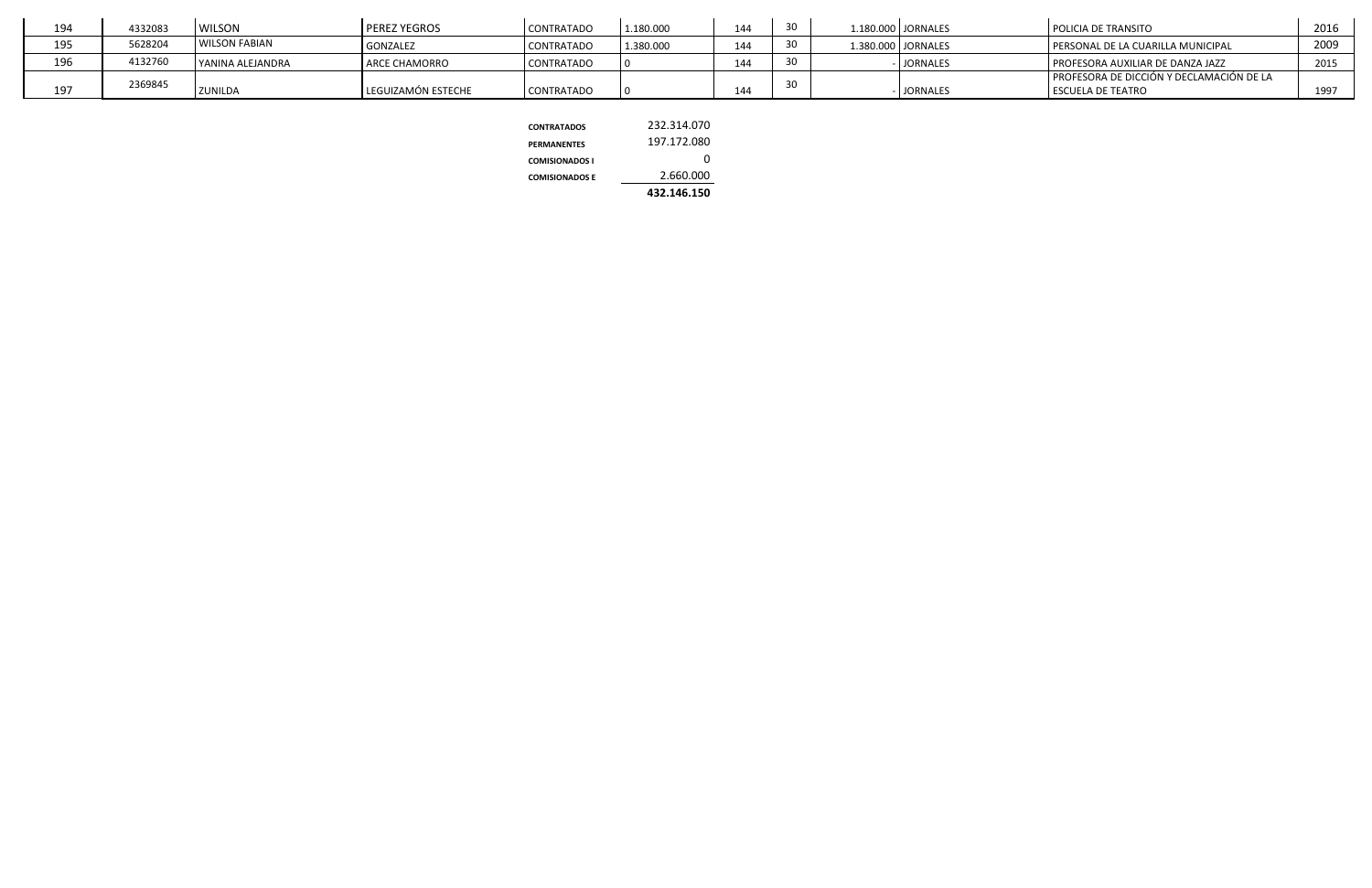| 194 | 4332083 | <b>WILSON</b>        | <b>PEREZ YEGROS</b>  | <b>CONTRATADO</b> | L.180.000 | 144 | $\sim$ $\sim$ | 1.180.000   JORNALES | <b>POLICIA DE TRANSITO</b>                 | 2016 |
|-----|---------|----------------------|----------------------|-------------------|-----------|-----|---------------|----------------------|--------------------------------------------|------|
| 195 | 5628204 | <b>WILSON FABIAN</b> | <b>GONZALEZ</b>      | <b>CONTRATADO</b> | 1.380.000 | 144 |               | 1.380.000 JORNALES   | PERSONAL DE LA CUARILLA MUNICIPAL          | 2009 |
| 196 | 4132760 | I YANINA ALEJANDRA   | <b>ARCE CHAMORRO</b> | <b>CONTRATADO</b> |           | 144 |               | <b>JORNALES</b>      | <b>I PROFESORA AUXILIAR DE DANZA JAZZ</b>  | 2015 |
|     | 2369845 |                      |                      |                   |           |     |               |                      | I PROFESORA DE DICCIÓN Y DECLAMACIÓN DE LA |      |
| 197 |         | <b>ZUNILDA</b>       | LEGUIZAMÓN ESTECHE   | <b>CONTRATADO</b> |           | 144 |               | <b>JORNALES</b>      | <b>LESCUELA DE TEATRO</b>                  | 1997 |

|                       | 432.146.150 |
|-----------------------|-------------|
| <b>COMISIONADOS E</b> | 2.660.000   |
| <b>COMISIONADOS I</b> | O           |
| <b>PERMANENTES</b>    | 197.172.080 |
| <b>CONTRATADOS</b>    | 232.314.070 |